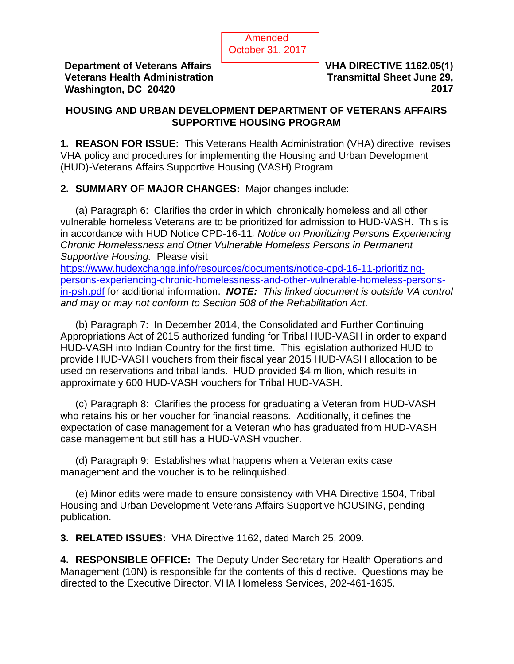

**Department of Veterans Affairs Veterans Health Administration Washington, DC 20420**

**VHA DIRECTIVE 1162.05(1) Transmittal Sheet June 29, 2017**

### **HOUSING AND URBAN DEVELOPMENT DEPARTMENT OF VETERANS AFFAIRS SUPPORTIVE HOUSING PROGRAM**

**1. REASON FOR ISSUE:** This Veterans Health Administration (VHA) directive revises VHA policy and procedures for implementing the Housing and Urban Development (HUD)-Veterans Affairs Supportive Housing (VASH) Program

# **2. SUMMARY OF MAJOR CHANGES:** Major changes include:

(a) Paragraph 6: Clarifies the order in which chronically homeless and all other vulnerable homeless Veterans are to be prioritized for admission to HUD-VASH. This is in accordance with HUD Notice CPD-16-11*, Notice on Prioritizing Persons Experiencing Chronic Homelessness and Other Vulnerable Homeless Persons in Permanent Supportive Housing.* Please visit

[https://www.hudexchange.info/resources/documents/notice-cpd-16-11-prioritizing](https://www.hudexchange.info/resources/documents/notice-cpd-16-11-prioritizing-persons-experiencing-chronic-homelessness-and-other-vulnerable-homeless-persons-in-psh.pdf)[persons-experiencing-chronic-homelessness-and-other-vulnerable-homeless-persons](https://www.hudexchange.info/resources/documents/notice-cpd-16-11-prioritizing-persons-experiencing-chronic-homelessness-and-other-vulnerable-homeless-persons-in-psh.pdf)[in-psh.pdf](https://www.hudexchange.info/resources/documents/notice-cpd-16-11-prioritizing-persons-experiencing-chronic-homelessness-and-other-vulnerable-homeless-persons-in-psh.pdf) for additional information. *NOTE: This linked document is outside VA control and may or may not conform to Section 508 of the Rehabilitation Act*.

(b) Paragraph 7: In December 2014, the Consolidated and Further Continuing Appropriations Act of 2015 authorized funding for Tribal HUD-VASH in order to expand HUD-VASH into Indian Country for the first time. This legislation authorized HUD to provide HUD-VASH vouchers from their fiscal year 2015 HUD-VASH allocation to be used on reservations and tribal lands. HUD provided \$4 million, which results in approximately 600 HUD-VASH vouchers for Tribal HUD-VASH.

(c) Paragraph 8: Clarifies the process for graduating a Veteran from HUD-VASH who retains his or her voucher for financial reasons. Additionally, it defines the expectation of case management for a Veteran who has graduated from HUD-VASH case management but still has a HUD-VASH voucher.

(d) Paragraph 9: Establishes what happens when a Veteran exits case management and the voucher is to be relinquished.

(e) Minor edits were made to ensure consistency with VHA Directive 1504, Tribal Housing and Urban Development Veterans Affairs Supportive hOUSING, pending publication.

**3. RELATED ISSUES:** VHA Directive 1162, dated March 25, 2009.

**4. RESPONSIBLE OFFICE:** The Deputy Under Secretary for Health Operations and Management (10N) is responsible for the contents of this directive. Questions may be directed to the Executive Director, VHA Homeless Services, 202-461-1635.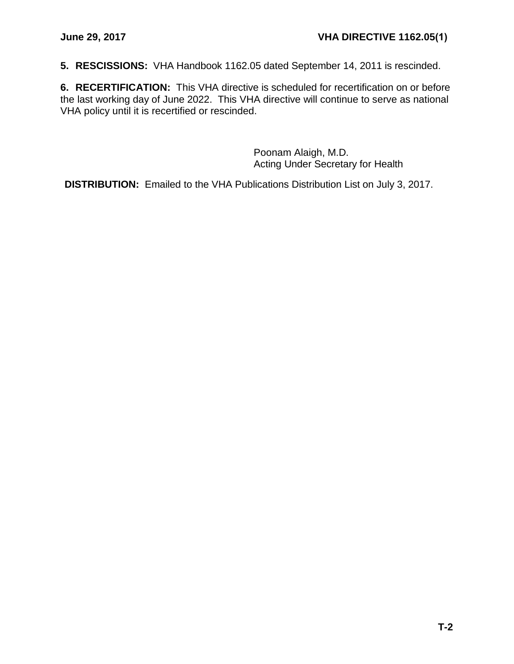**5. RESCISSIONS:** VHA Handbook 1162.05 dated September 14, 2011 is rescinded.

**6. RECERTIFICATION:** This VHA directive is scheduled for recertification on or before the last working day of June 2022. This VHA directive will continue to serve as national VHA policy until it is recertified or rescinded.

> Poonam Alaigh, M.D. Acting Under Secretary for Health

**DISTRIBUTION:** Emailed to the VHA Publications Distribution List on July 3, 2017.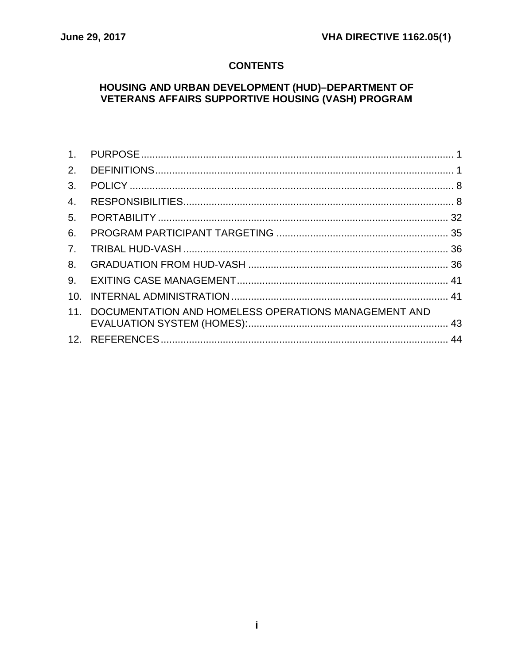# **CONTENTS**

# **HOUSING AND URBAN DEVELOPMENT (HUD)-DEPARTMENT OF VETERANS AFFAIRS SUPPORTIVE HOUSING (VASH) PROGRAM**

| 2.             |                                                      |  |
|----------------|------------------------------------------------------|--|
| 3.             |                                                      |  |
| 4.             |                                                      |  |
| 5.             |                                                      |  |
| 6.             |                                                      |  |
| 7 <sub>1</sub> |                                                      |  |
| 8.             |                                                      |  |
| 9.             |                                                      |  |
| 10.            |                                                      |  |
| 11.            | DOCUMENTATION AND HOMELESS OPERATIONS MANAGEMENT AND |  |
|                |                                                      |  |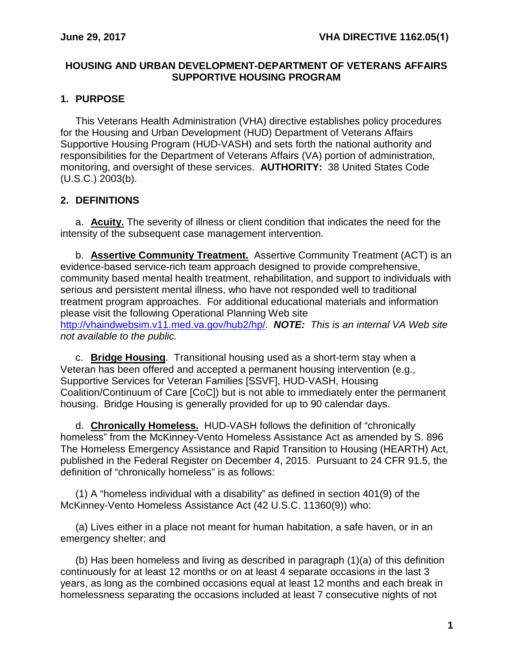### **HOUSING AND URBAN DEVELOPMENT-DEPARTMENT OF VETERANS AFFAIRS SUPPORTIVE HOUSING PROGRAM**

# <span id="page-3-0"></span>**1. PURPOSE**

This Veterans Health Administration (VHA) directive establishes policy procedures for the Housing and Urban Development (HUD) Department of Veterans Affairs Supportive Housing Program (HUD-VASH) and sets forth the national authority and responsibilities for the Department of Veterans Affairs (VA) portion of administration, monitoring, and oversight of these services. **AUTHORITY:** 38 United States Code (U.S.C.) 2003(b).

# <span id="page-3-1"></span>**2. DEFINITIONS**

a. **Acuity.** The severity of illness or client condition that indicates the need for the intensity of the subsequent case management intervention.

b. **Assertive Community Treatment.** Assertive Community Treatment (ACT) is an evidence-based service-rich team approach designed to provide comprehensive, community based mental health treatment, rehabilitation, and support to individuals with serious and persistent mental illness, who have not responded well to traditional treatment program approaches. For additional educational materials and information please visit the following Operational Planning Web site [http://vhaindwebsim.v11.med.va.gov/hub2/hp/.](http://vhaindwebsim.v11.med.va.gov/hub2/hp/) *NOTE: This is an internal VA Web site not available to the public.*

c. **Bridge Housing**. Transitional housing used as a short-term stay when a Veteran has been offered and accepted a permanent housing intervention (e.g., Supportive Services for Veteran Families [SSVF], HUD-VASH, Housing Coalition/Continuum of Care [CoC]) but is not able to immediately enter the permanent housing. Bridge Housing is generally provided for up to 90 calendar days.

d. **Chronically Homeless.** HUD-VASH follows the definition of "chronically homeless" from the McKinney-Vento Homeless Assistance Act as amended by S. 896 The Homeless Emergency Assistance and Rapid Transition to Housing (HEARTH) Act, published in the Federal Register on December 4, 2015. Pursuant to 24 CFR 91.5, the definition of "chronically homeless" is as follows:

(1) A "homeless individual with a disability" as defined in section 401(9) of the McKinney-Vento Homeless Assistance Act (42 U.S.C. 11360(9)) who:

(a) Lives either in a place not meant for human habitation, a safe haven, or in an emergency shelter; and

(b) Has been homeless and living as described in paragraph (1)(a) of this definition continuously for at least 12 months or on at least 4 separate occasions in the last 3 years, as long as the combined occasions equal at least 12 months and each break in homelessness separating the occasions included at least 7 consecutive nights of not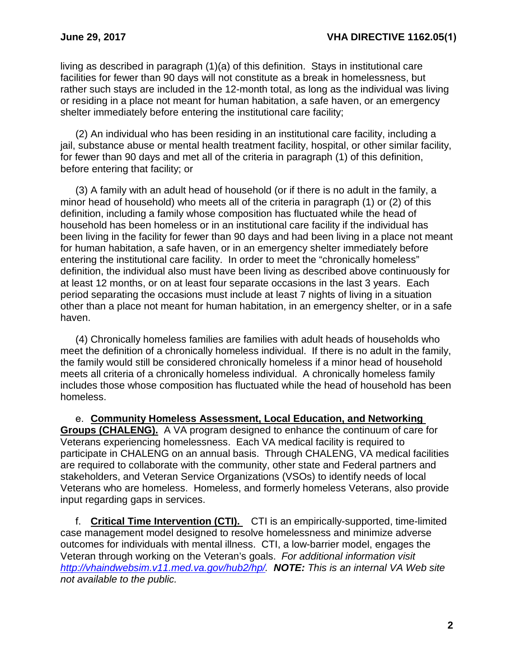living as described in paragraph (1)(a) of this definition. Stays in institutional care facilities for fewer than 90 days will not constitute as a break in homelessness, but rather such stays are included in the 12-month total, as long as the individual was living or residing in a place not meant for human habitation, a safe haven, or an emergency shelter immediately before entering the institutional care facility;

(2) An individual who has been residing in an institutional care facility, including a jail, substance abuse or mental health treatment facility, hospital, or other similar facility, for fewer than 90 days and met all of the criteria in paragraph (1) of this definition, before entering that facility; or

(3) A family with an adult head of household (or if there is no adult in the family, a minor head of household) who meets all of the criteria in paragraph (1) or (2) of this definition, including a family whose composition has fluctuated while the head of household has been homeless or in an institutional care facility if the individual has been living in the facility for fewer than 90 days and had been living in a place not meant for human habitation, a safe haven, or in an emergency shelter immediately before entering the institutional care facility. In order to meet the "chronically homeless" definition, the individual also must have been living as described above continuously for at least 12 months, or on at least four separate occasions in the last 3 years. Each period separating the occasions must include at least 7 nights of living in a situation other than a place not meant for human habitation, in an emergency shelter, or in a safe haven.

(4) Chronically homeless families are families with adult heads of households who meet the definition of a chronically homeless individual. If there is no adult in the family, the family would still be considered chronically homeless if a minor head of household meets all criteria of a chronically homeless individual. A chronically homeless family includes those whose composition has fluctuated while the head of household has been homeless.

e. **Community Homeless Assessment, Local Education, and Networking Groups (CHALENG).** A VA program designed to enhance the continuum of care for Veterans experiencing homelessness. Each VA medical facility is required to participate in CHALENG on an annual basis. Through CHALENG, VA medical facilities are required to collaborate with the community, other state and Federal partners and stakeholders, and Veteran Service Organizations (VSOs) to identify needs of local Veterans who are homeless. Homeless, and formerly homeless Veterans, also provide input regarding gaps in services.

f. **Critical Time Intervention (CTI).** CTI is an empirically-supported, time-limited case management model designed to resolve homelessness and minimize adverse outcomes for individuals with mental illness. CTI, a low-barrier model, engages the Veteran through working on the Veteran's goals. *For additional information visit [http://vhaindwebsim.v11.med.va.gov/hub2/hp/.](http://vhaindwebsim.v11.med.va.gov/hub2/hp/) NOTE: This is an internal VA Web site not available to the public.*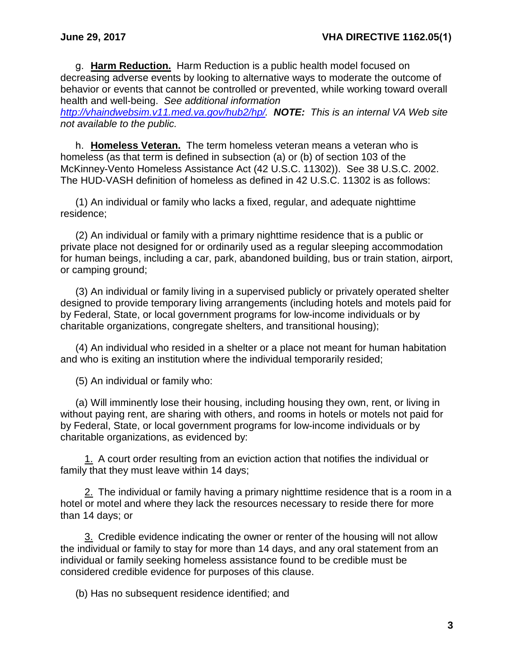g. **Harm Reduction.** Harm Reduction is a public health model focused on decreasing adverse events by looking to alternative ways to moderate the outcome of behavior or events that cannot be controlled or prevented, while working toward overall health and well-being. *See additional information* 

*[http://vhaindwebsim.v11.med.va.gov/hub2/hp/.](http://vhaindwebsim.v11.med.va.gov/hub2/hp/) NOTE: This is an internal VA Web site not available to the public.*

h. **Homeless Veteran.** The term homeless veteran means a veteran who is homeless (as that term is defined in subsection (a) or (b) of section 103 of the McKinney-Vento Homeless Assistance Act (42 U.S.C. 11302)). See 38 U.S.C. 2002. The HUD-VASH definition of homeless as defined in 42 U.S.C. 11302 is as follows:

(1) An individual or family who lacks a fixed, regular, and adequate nighttime residence;

(2) An individual or family with a primary nighttime residence that is a public or private place not designed for or ordinarily used as a regular sleeping accommodation for human beings, including a car, park, abandoned building, bus or train station, airport, or camping ground;

(3) An individual or family living in a supervised publicly or privately operated shelter designed to provide temporary living arrangements (including hotels and motels paid for by Federal, State, or local government programs for low-income individuals or by charitable organizations, congregate shelters, and transitional housing);

(4) An individual who resided in a shelter or a place not meant for human habitation and who is exiting an institution where the individual temporarily resided;

(5) An individual or family who:

(a) Will imminently lose their housing, including housing they own, rent, or living in without paying rent, are sharing with others, and rooms in hotels or motels not paid for by Federal, State, or local government programs for low-income individuals or by charitable organizations, as evidenced by:

1. A court order resulting from an eviction action that notifies the individual or family that they must leave within 14 days;

2. The individual or family having a primary nighttime residence that is a room in a hotel or motel and where they lack the resources necessary to reside there for more than 14 days; or

3. Credible evidence indicating the owner or renter of the housing will not allow the individual or family to stay for more than 14 days, and any oral statement from an individual or family seeking homeless assistance found to be credible must be considered credible evidence for purposes of this clause.

(b) Has no subsequent residence identified; and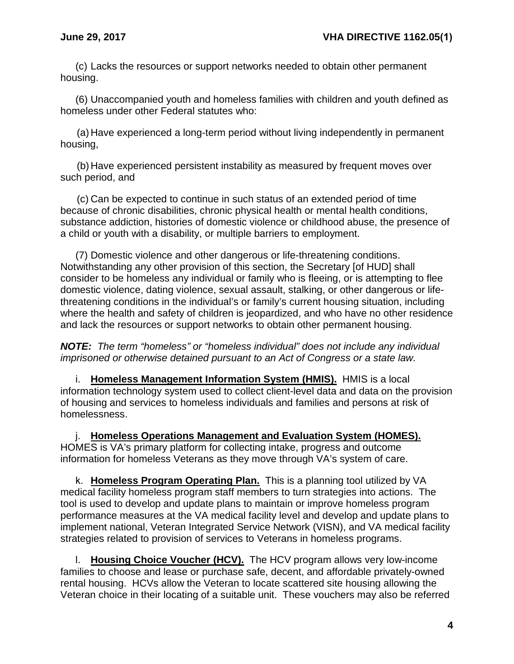(c) Lacks the resources or support networks needed to obtain other permanent housing.

(6) Unaccompanied youth and homeless families with children and youth defined as homeless under other Federal statutes who:

(a) Have experienced a long-term period without living independently in permanent housing,

(b) Have experienced persistent instability as measured by frequent moves over such period, and

(c) Can be expected to continue in such status of an extended period of time because of chronic disabilities, chronic physical health or mental health conditions, substance addiction, histories of domestic violence or childhood abuse, the presence of a child or youth with a disability, or multiple barriers to employment.

(7) Domestic violence and other dangerous or life-threatening conditions. Notwithstanding any other provision of this section, the Secretary [of HUD] shall consider to be homeless any individual or family who is fleeing, or is attempting to flee domestic violence, dating violence, sexual assault, stalking, or other dangerous or lifethreatening conditions in the individual's or family's current housing situation, including where the health and safety of children is jeopardized, and who have no other residence and lack the resources or support networks to obtain other permanent housing.

*NOTE: The term "homeless" or "homeless individual" does not include any individual imprisoned or otherwise detained pursuant to an Act of Congress or a state law.*

i. **Homeless Management Information System (HMIS).** HMIS is a local information technology system used to collect client-level data and data on the provision of housing and services to homeless individuals and families and persons at risk of homelessness.

j. **Homeless Operations Management and Evaluation System (HOMES).** HOMES is VA's primary platform for collecting intake, progress and outcome information for homeless Veterans as they move through VA's system of care.

k. **Homeless Program Operating Plan.** This is a planning tool utilized by VA medical facility homeless program staff members to turn strategies into actions. The tool is used to develop and update plans to maintain or improve homeless program performance measures at the VA medical facility level and develop and update plans to implement national, Veteran Integrated Service Network (VISN), and VA medical facility strategies related to provision of services to Veterans in homeless programs.

l. **Housing Choice Voucher (HCV).** The HCV program allows very low-income families to choose and lease or purchase safe, decent, and affordable privately-owned rental housing. HCVs allow the Veteran to locate scattered site housing allowing the Veteran choice in their locating of a suitable unit. These vouchers may also be referred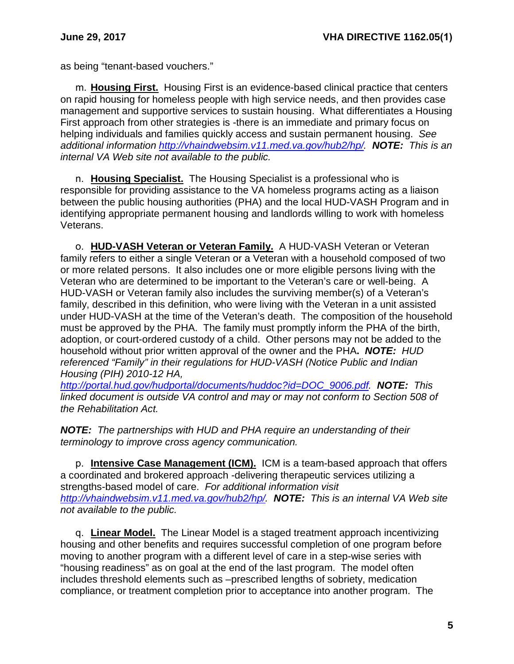as being "tenant-based vouchers."

m. **Housing First.** Housing First is an evidence-based clinical practice that centers on rapid housing for homeless people with high service needs, and then provides case management and supportive services to sustain housing. What differentiates a Housing First approach from other strategies is -there is an immediate and primary focus on helping individuals and families quickly access and sustain permanent housing. *See additional information [http://vhaindwebsim.v11.med.va.gov/hub2/hp/.](http://vhaindwebsim.v11.med.va.gov/hub2/hp/) NOTE: This is an internal VA Web site not available to the public.*

n. **Housing Specialist.** The Housing Specialist is a professional who is responsible for providing assistance to the VA homeless programs acting as a liaison between the public housing authorities (PHA) and the local HUD-VASH Program and in identifying appropriate permanent housing and landlords willing to work with homeless Veterans.

o. **HUD-VASH Veteran or Veteran Family.** A HUD-VASH Veteran or Veteran family refers to either a single Veteran or a Veteran with a household composed of two or more related persons. It also includes one or more eligible persons living with the Veteran who are determined to be important to the Veteran's care or well-being. A HUD-VASH or Veteran family also includes the surviving member(s) of a Veteran's family, described in this definition, who were living with the Veteran in a unit assisted under HUD-VASH at the time of the Veteran's death. The composition of the household must be approved by the PHA. The family must promptly inform the PHA of the birth, adoption, or court-ordered custody of a child. Other persons may not be added to the household without prior written approval of the owner and the PHA**.** *NOTE: HUD referenced "Family" in their regulations for HUD-VASH (Notice Public and Indian Housing (PIH) 2010-12 HA,* 

*[http://portal.hud.gov/hudportal/documents/huddoc?id=DOC\\_9006.pdf.](http://portal.hud.gov/hudportal/documents/huddoc?id=DOC_9006.pdf) NOTE: This linked document is outside VA control and may or may not conform to Section 508 of the Rehabilitation Act.*

*NOTE: The partnerships with HUD and PHA require an understanding of their terminology to improve cross agency communication.*

p. **Intensive Case Management (ICM).** ICM is a team-based approach that offers a coordinated and brokered approach -delivering therapeutic services utilizing a strengths-based model of care. *For additional information visit [http://vhaindwebsim.v11.med.va.gov/hub2/hp/.](http://vhaindwebsim.v11.med.va.gov/hub2/hp/) NOTE: This is an internal VA Web site not available to the public.*

q. **Linear Model.** The Linear Model is a staged treatment approach incentivizing housing and other benefits and requires successful completion of one program before moving to another program with a different level of care in a step-wise series with "housing readiness" as on goal at the end of the last program. The model often includes threshold elements such as –prescribed lengths of sobriety, medication compliance, or treatment completion prior to acceptance into another program. The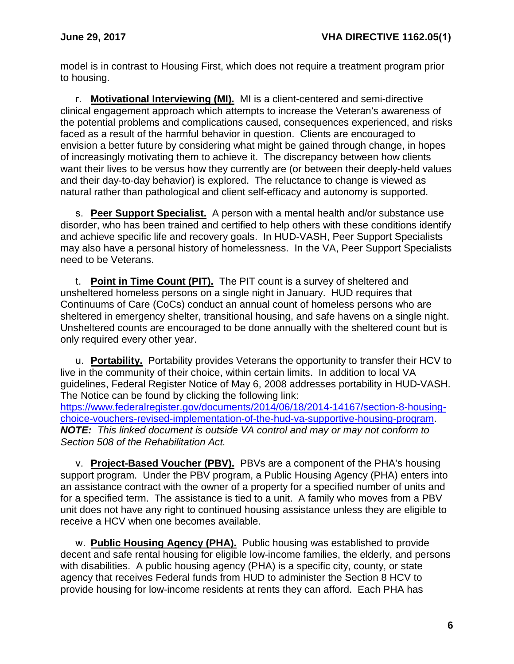model is in contrast to Housing First, which does not require a treatment program prior to housing.

r. **Motivational Interviewing (MI).** MI is a client-centered and semi-directive clinical engagement approach which attempts to increase the Veteran's awareness of the potential problems and complications caused, consequences experienced, and risks faced as a result of the harmful behavior in question. Clients are encouraged to envision a better future by considering what might be gained through change, in hopes of increasingly motivating them to achieve it. The discrepancy between how clients want their lives to be versus how they currently are (or between their deeply-held values and their day-to-day behavior) is explored. The reluctance to change is viewed as natural rather than pathological and client self-efficacy and autonomy is supported.

s. **Peer Support Specialist.** A person with a mental health and/or substance use disorder, who has been trained and certified to help others with these conditions identify and achieve specific life and recovery goals. In HUD-VASH, Peer Support Specialists may also have a personal history of homelessness. In the VA, Peer Support Specialists need to be Veterans.

t. **Point in Time Count (PIT).** The PIT count is a survey of sheltered and unsheltered homeless persons on a single night in January. HUD requires that Continuums of Care (CoCs) conduct an annual count of homeless persons who are sheltered in emergency shelter, transitional housing, and safe havens on a single night. Unsheltered counts are encouraged to be done annually with the sheltered count but is only required every other year.

u. **Portability.** Portability provides Veterans the opportunity to transfer their HCV to live in the community of their choice, within certain limits. In addition to local VA guidelines, Federal Register Notice of May 6, 2008 addresses portability in HUD-VASH. The Notice can be found by clicking the following link: [https://www.federalregister.gov/documents/2014/06/18/2014-14167/section-8-housing](https://www.federalregister.gov/documents/2014/06/18/2014-14167/section-8-housing-choice-vouchers-revised-implementation-of-the-hud-va-supportive-housing-program)[choice-vouchers-revised-implementation-of-the-hud-va-supportive-housing-program.](https://www.federalregister.gov/documents/2014/06/18/2014-14167/section-8-housing-choice-vouchers-revised-implementation-of-the-hud-va-supportive-housing-program) *NOTE: This linked document is outside VA control and may or may not conform to Section 508 of the Rehabilitation Act.*

v. **Project-Based Voucher (PBV).** PBVs are a component of the PHA's housing support program. Under the PBV program, a Public Housing Agency (PHA) enters into an assistance contract with the owner of a property for a specified number of units and for a specified term. The assistance is tied to a unit. A family who moves from a PBV unit does not have any right to continued housing assistance unless they are eligible to receive a HCV when one becomes available.

w. **Public Housing Agency (PHA).** Public housing was established to provide decent and safe rental housing for eligible low-income families, the elderly, and persons with disabilities. A public housing agency (PHA) is a specific city, county, or state agency that receives Federal funds from HUD to administer the Section 8 HCV to provide housing for low-income residents at rents they can afford. Each PHA has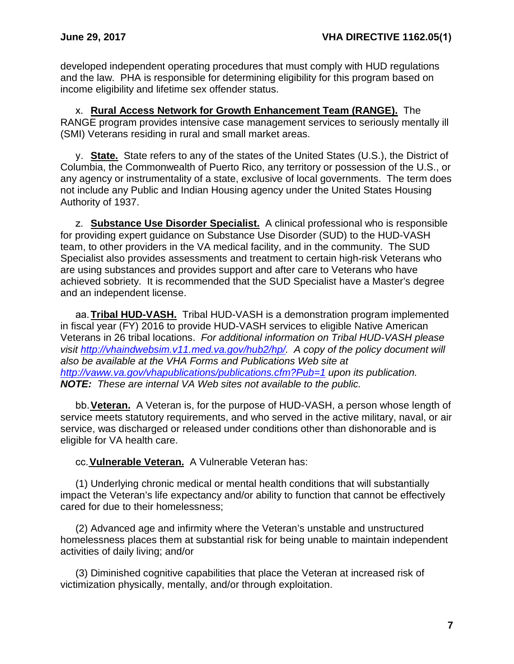developed independent operating procedures that must comply with HUD regulations and the law. PHA is responsible for determining eligibility for this program based on income eligibility and lifetime sex offender status.

x. **Rural Access Network for Growth Enhancement Team (RANGE).** The RANGE program provides intensive case management services to seriously mentally ill (SMI) Veterans residing in rural and small market areas.

y. **State.** State refers to any of the states of the United States (U.S.), the District of Columbia, the Commonwealth of Puerto Rico, any territory or possession of the U.S., or any agency or instrumentality of a state, exclusive of local governments. The term does not include any Public and Indian Housing agency under the United States Housing Authority of 1937.

z. **Substance Use Disorder Specialist.** A clinical professional who is responsible for providing expert guidance on Substance Use Disorder (SUD) to the HUD-VASH team, to other providers in the VA medical facility, and in the community. The SUD Specialist also provides assessments and treatment to certain high-risk Veterans who are using substances and provides support and after care to Veterans who have achieved sobriety. It is recommended that the SUD Specialist have a Master's degree and an independent license.

aa.**Tribal HUD-VASH.** Tribal HUD-VASH is a demonstration program implemented in fiscal year (FY) 2016 to provide HUD-VASH services to eligible Native American Veterans in 26 tribal locations. *For additional information on Tribal HUD-VASH please visit [http://vhaindwebsim.v11.med.va.gov/hub2/hp/.](http://vhaindwebsim.v11.med.va.gov/hub2/hp/) A copy of the policy document will also be available at the VHA Forms and Publications Web site at <http://vaww.va.gov/vhapublications/publications.cfm?Pub=1> upon its publication. NOTE: These are internal VA Web sites not available to the public.*

bb.**Veteran.** A Veteran is, for the purpose of HUD-VASH, a person whose length of service meets statutory requirements, and who served in the active military, naval, or air service, was discharged or released under conditions other than dishonorable and is eligible for VA health care.

cc.**Vulnerable Veteran.** A Vulnerable Veteran has:

(1) Underlying chronic medical or mental health conditions that will substantially impact the Veteran's life expectancy and/or ability to function that cannot be effectively cared for due to their homelessness;

(2) Advanced age and infirmity where the Veteran's unstable and unstructured homelessness places them at substantial risk for being unable to maintain independent activities of daily living; and/or

(3) Diminished cognitive capabilities that place the Veteran at increased risk of victimization physically, mentally, and/or through exploitation.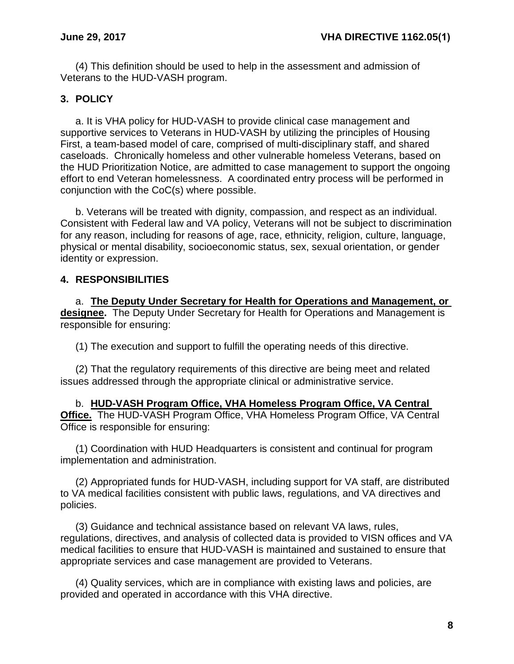(4) This definition should be used to help in the assessment and admission of Veterans to the HUD-VASH program.

# <span id="page-10-0"></span>**3. POLICY**

a. It is VHA policy for HUD-VASH to provide clinical case management and supportive services to Veterans in HUD-VASH by utilizing the principles of Housing First, a team-based model of care, comprised of multi-disciplinary staff, and shared caseloads. Chronically homeless and other vulnerable homeless Veterans, based on the HUD Prioritization Notice, are admitted to case management to support the ongoing effort to end Veteran homelessness. A coordinated entry process will be performed in conjunction with the CoC(s) where possible.

b. Veterans will be treated with dignity, compassion, and respect as an individual. Consistent with Federal law and VA policy, Veterans will not be subject to discrimination for any reason, including for reasons of age, race, ethnicity, religion, culture, language, physical or mental disability, socioeconomic status, sex, sexual orientation, or gender identity or expression.

# <span id="page-10-1"></span>**4. RESPONSIBILITIES**

a. **The Deputy Under Secretary for Health for Operations and Management, or designee.** The Deputy Under Secretary for Health for Operations and Management is responsible for ensuring:

(1) The execution and support to fulfill the operating needs of this directive.

(2) That the regulatory requirements of this directive are being meet and related issues addressed through the appropriate clinical or administrative service.

b. **HUD-VASH Program Office, VHA Homeless Program Office, VA Central Office.** The HUD-VASH Program Office, VHA Homeless Program Office, VA Central Office is responsible for ensuring:

(1) Coordination with HUD Headquarters is consistent and continual for program implementation and administration.

(2) Appropriated funds for HUD-VASH, including support for VA staff, are distributed to VA medical facilities consistent with public laws, regulations, and VA directives and policies.

(3) Guidance and technical assistance based on relevant VA laws, rules, regulations, directives, and analysis of collected data is provided to VISN offices and VA medical facilities to ensure that HUD-VASH is maintained and sustained to ensure that appropriate services and case management are provided to Veterans.

(4) Quality services, which are in compliance with existing laws and policies, are provided and operated in accordance with this VHA directive.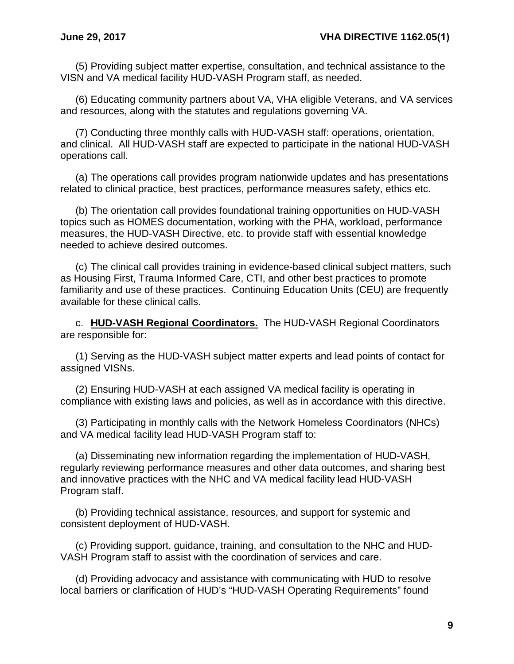(5) Providing subject matter expertise, consultation, and technical assistance to the VISN and VA medical facility HUD-VASH Program staff, as needed.

(6) Educating community partners about VA, VHA eligible Veterans, and VA services and resources, along with the statutes and regulations governing VA.

(7) Conducting three monthly calls with HUD-VASH staff: operations, orientation, and clinical. All HUD-VASH staff are expected to participate in the national HUD-VASH operations call.

(a) The operations call provides program nationwide updates and has presentations related to clinical practice, best practices, performance measures safety, ethics etc.

(b) The orientation call provides foundational training opportunities on HUD-VASH topics such as HOMES documentation, working with the PHA, workload, performance measures, the HUD-VASH Directive, etc. to provide staff with essential knowledge needed to achieve desired outcomes.

(c) The clinical call provides training in evidence-based clinical subject matters, such as Housing First, Trauma Informed Care, CTI, and other best practices to promote familiarity and use of these practices. Continuing Education Units (CEU) are frequently available for these clinical calls.

c. **HUD-VASH Regional Coordinators.** The HUD-VASH Regional Coordinators are responsible for:

(1) Serving as the HUD-VASH subject matter experts and lead points of contact for assigned VISNs.

(2) Ensuring HUD-VASH at each assigned VA medical facility is operating in compliance with existing laws and policies, as well as in accordance with this directive.

(3) Participating in monthly calls with the Network Homeless Coordinators (NHCs) and VA medical facility lead HUD-VASH Program staff to:

(a) Disseminating new information regarding the implementation of HUD-VASH, regularly reviewing performance measures and other data outcomes, and sharing best and innovative practices with the NHC and VA medical facility lead HUD-VASH Program staff.

(b) Providing technical assistance, resources, and support for systemic and consistent deployment of HUD-VASH.

(c) Providing support, guidance, training, and consultation to the NHC and HUD-VASH Program staff to assist with the coordination of services and care.

(d) Providing advocacy and assistance with communicating with HUD to resolve local barriers or clarification of HUD's "HUD-VASH Operating Requirements" found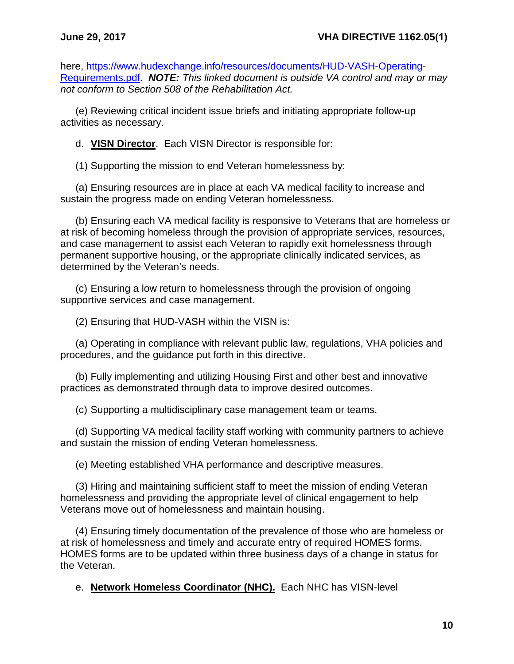here, [https://www.hudexchange.info/resources/documents/HUD-VASH-Operating-](https://www.hudexchange.info/resources/documents/HUD-VASH-Operating-Requirements.pdf)[Requirements.pdf.](https://www.hudexchange.info/resources/documents/HUD-VASH-Operating-Requirements.pdf) *NOTE: This linked document is outside VA control and may or may not conform to Section 508 of the Rehabilitation Act.*

(e) Reviewing critical incident issue briefs and initiating appropriate follow-up activities as necessary.

d. **VISN Director**. Each VISN Director is responsible for:

(1) Supporting the mission to end Veteran homelessness by:

(a) Ensuring resources are in place at each VA medical facility to increase and sustain the progress made on ending Veteran homelessness.

(b) Ensuring each VA medical facility is responsive to Veterans that are homeless or at risk of becoming homeless through the provision of appropriate services, resources, and case management to assist each Veteran to rapidly exit homelessness through permanent supportive housing, or the appropriate clinically indicated services, as determined by the Veteran's needs.

(c) Ensuring a low return to homelessness through the provision of ongoing supportive services and case management.

(2) Ensuring that HUD-VASH within the VISN is:

(a) Operating in compliance with relevant public law, regulations, VHA policies and procedures, and the guidance put forth in this directive.

(b) Fully implementing and utilizing Housing First and other best and innovative practices as demonstrated through data to improve desired outcomes.

(c) Supporting a multidisciplinary case management team or teams.

(d) Supporting VA medical facility staff working with community partners to achieve and sustain the mission of ending Veteran homelessness.

(e) Meeting established VHA performance and descriptive measures.

(3) Hiring and maintaining sufficient staff to meet the mission of ending Veteran homelessness and providing the appropriate level of clinical engagement to help Veterans move out of homelessness and maintain housing.

(4) Ensuring timely documentation of the prevalence of those who are homeless or at risk of homelessness and timely and accurate entry of required HOMES forms. HOMES forms are to be updated within three business days of a change in status for the Veteran.

e. **Network Homeless Coordinator (NHC).** Each NHC has VISN-level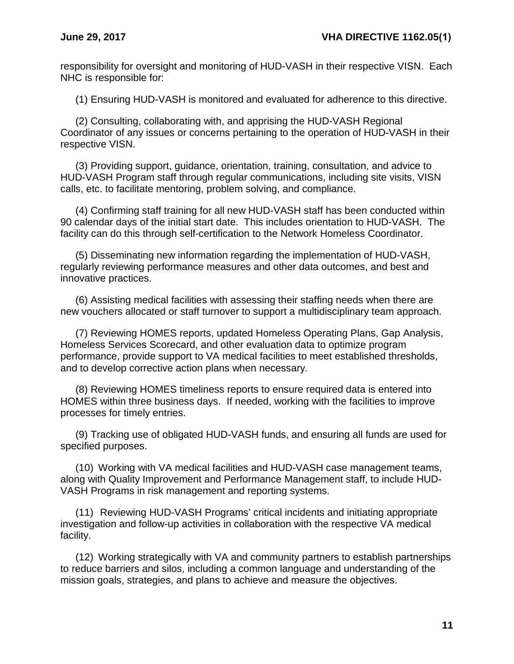responsibility for oversight and monitoring of HUD-VASH in their respective VISN. Each NHC is responsible for:

(1) Ensuring HUD-VASH is monitored and evaluated for adherence to this directive.

(2) Consulting, collaborating with, and apprising the HUD-VASH Regional Coordinator of any issues or concerns pertaining to the operation of HUD-VASH in their respective VISN.

(3) Providing support, guidance, orientation, training, consultation, and advice to HUD-VASH Program staff through regular communications, including site visits, VISN calls, etc. to facilitate mentoring, problem solving, and compliance.

(4) Confirming staff training for all new HUD-VASH staff has been conducted within 90 calendar days of the initial start date. This includes orientation to HUD-VASH. The facility can do this through self-certification to the Network Homeless Coordinator.

(5) Disseminating new information regarding the implementation of HUD-VASH, regularly reviewing performance measures and other data outcomes, and best and innovative practices.

(6) Assisting medical facilities with assessing their staffing needs when there are new vouchers allocated or staff turnover to support a multidisciplinary team approach.

(7) Reviewing HOMES reports, updated Homeless Operating Plans, Gap Analysis, Homeless Services Scorecard, and other evaluation data to optimize program performance, provide support to VA medical facilities to meet established thresholds, and to develop corrective action plans when necessary.

(8) Reviewing HOMES timeliness reports to ensure required data is entered into HOMES within three business days. If needed, working with the facilities to improve processes for timely entries.

(9) Tracking use of obligated HUD-VASH funds, and ensuring all funds are used for specified purposes.

(10) Working with VA medical facilities and HUD-VASH case management teams, along with Quality Improvement and Performance Management staff, to include HUD-VASH Programs in risk management and reporting systems.

(11) Reviewing HUD-VASH Programs' critical incidents and initiating appropriate investigation and follow-up activities in collaboration with the respective VA medical facility.

(12) Working strategically with VA and community partners to establish partnerships to reduce barriers and silos, including a common language and understanding of the mission goals, strategies, and plans to achieve and measure the objectives.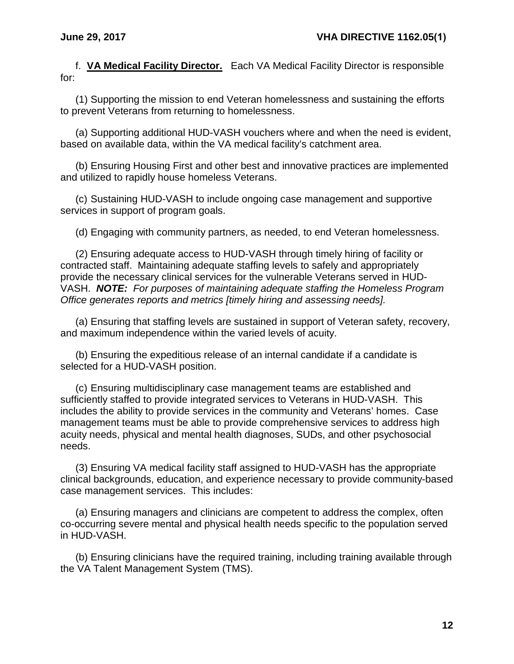f. **VA Medical Facility Director.** Each VA Medical Facility Director is responsible for:

(1) Supporting the mission to end Veteran homelessness and sustaining the efforts to prevent Veterans from returning to homelessness.

(a) Supporting additional HUD-VASH vouchers where and when the need is evident, based on available data, within the VA medical facility's catchment area.

(b) Ensuring Housing First and other best and innovative practices are implemented and utilized to rapidly house homeless Veterans.

(c) Sustaining HUD-VASH to include ongoing case management and supportive services in support of program goals.

(d) Engaging with community partners, as needed, to end Veteran homelessness.

(2) Ensuring adequate access to HUD-VASH through timely hiring of facility or contracted staff. Maintaining adequate staffing levels to safely and appropriately provide the necessary clinical services for the vulnerable Veterans served in HUD-VASH. *NOTE: For purposes of maintaining adequate staffing the Homeless Program Office generates reports and metrics [timely hiring and assessing needs].*

(a) Ensuring that staffing levels are sustained in support of Veteran safety, recovery, and maximum independence within the varied levels of acuity.

(b) Ensuring the expeditious release of an internal candidate if a candidate is selected for a HUD-VASH position.

(c) Ensuring multidisciplinary case management teams are established and sufficiently staffed to provide integrated services to Veterans in HUD-VASH. This includes the ability to provide services in the community and Veterans' homes. Case management teams must be able to provide comprehensive services to address high acuity needs, physical and mental health diagnoses, SUDs, and other psychosocial needs.

(3) Ensuring VA medical facility staff assigned to HUD-VASH has the appropriate clinical backgrounds, education, and experience necessary to provide community-based case management services. This includes:

(a) Ensuring managers and clinicians are competent to address the complex, often co-occurring severe mental and physical health needs specific to the population served in HUD-VASH.

(b) Ensuring clinicians have the required training, including training available through the VA Talent Management System (TMS).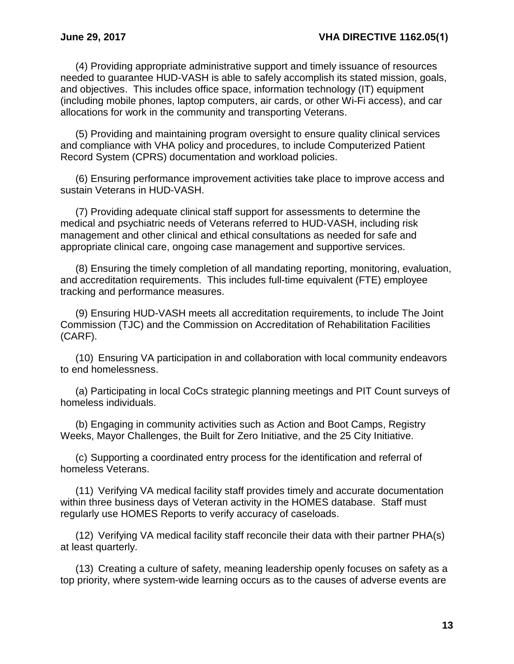(4) Providing appropriate administrative support and timely issuance of resources needed to guarantee HUD-VASH is able to safely accomplish its stated mission, goals, and objectives. This includes office space, information technology (IT) equipment (including mobile phones, laptop computers, air cards, or other Wi-Fi access), and car allocations for work in the community and transporting Veterans.

(5) Providing and maintaining program oversight to ensure quality clinical services and compliance with VHA policy and procedures, to include Computerized Patient Record System (CPRS) documentation and workload policies.

(6) Ensuring performance improvement activities take place to improve access and sustain Veterans in HUD-VASH.

(7) Providing adequate clinical staff support for assessments to determine the medical and psychiatric needs of Veterans referred to HUD-VASH, including risk management and other clinical and ethical consultations as needed for safe and appropriate clinical care, ongoing case management and supportive services.

(8) Ensuring the timely completion of all mandating reporting, monitoring, evaluation, and accreditation requirements. This includes full-time equivalent (FTE) employee tracking and performance measures.

(9) Ensuring HUD-VASH meets all accreditation requirements, to include The Joint Commission (TJC) and the Commission on Accreditation of Rehabilitation Facilities (CARF).

(10) Ensuring VA participation in and collaboration with local community endeavors to end homelessness.

(a) Participating in local CoCs strategic planning meetings and PIT Count surveys of homeless individuals.

(b) Engaging in community activities such as Action and Boot Camps, Registry Weeks, Mayor Challenges, the Built for Zero Initiative, and the 25 City Initiative.

(c) Supporting a coordinated entry process for the identification and referral of homeless Veterans.

(11) Verifying VA medical facility staff provides timely and accurate documentation within three business days of Veteran activity in the HOMES database. Staff must regularly use HOMES Reports to verify accuracy of caseloads.

(12) Verifying VA medical facility staff reconcile their data with their partner PHA(s) at least quarterly.

(13) Creating a culture of safety, meaning leadership openly focuses on safety as a top priority, where system-wide learning occurs as to the causes of adverse events are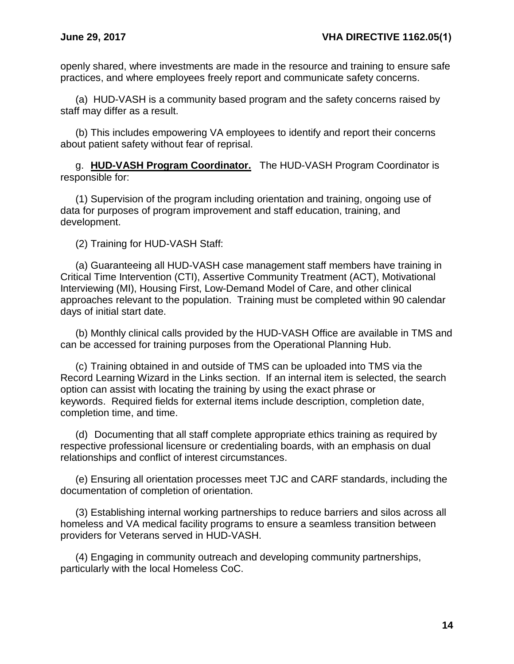openly shared, where investments are made in the resource and training to ensure safe practices, and where employees freely report and communicate safety concerns.

(a) HUD-VASH is a community based program and the safety concerns raised by staff may differ as a result.

(b) This includes empowering VA employees to identify and report their concerns about patient safety without fear of reprisal.

g. **HUD-VASH Program Coordinator.** The HUD-VASH Program Coordinator is responsible for:

(1) Supervision of the program including orientation and training, ongoing use of data for purposes of program improvement and staff education, training, and development.

(2) Training for HUD-VASH Staff:

(a) Guaranteeing all HUD-VASH case management staff members have training in Critical Time Intervention (CTI), Assertive Community Treatment (ACT), Motivational Interviewing (MI), Housing First, Low-Demand Model of Care, and other clinical approaches relevant to the population. Training must be completed within 90 calendar days of initial start date.

(b) Monthly clinical calls provided by the HUD-VASH Office are available in TMS and can be accessed for training purposes from the Operational Planning Hub.

(c) Training obtained in and outside of TMS can be uploaded into TMS via the Record Learning Wizard in the Links section. If an internal item is selected, the search option can assist with locating the training by using the exact phrase or keywords. Required fields for external items include description, completion date, completion time, and time.

(d) Documenting that all staff complete appropriate ethics training as required by respective professional licensure or credentialing boards, with an emphasis on dual relationships and conflict of interest circumstances.

(e) Ensuring all orientation processes meet TJC and CARF standards, including the documentation of completion of orientation.

(3) Establishing internal working partnerships to reduce barriers and silos across all homeless and VA medical facility programs to ensure a seamless transition between providers for Veterans served in HUD-VASH.

(4) Engaging in community outreach and developing community partnerships, particularly with the local Homeless CoC.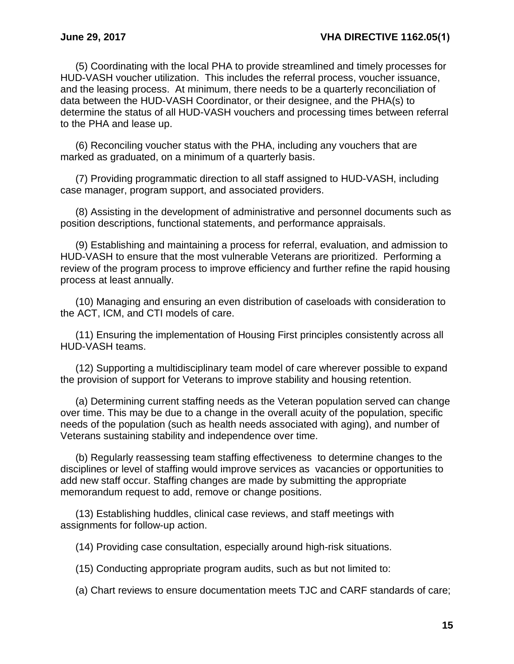(5) Coordinating with the local PHA to provide streamlined and timely processes for HUD-VASH voucher utilization. This includes the referral process, voucher issuance, and the leasing process. At minimum, there needs to be a quarterly reconciliation of data between the HUD-VASH Coordinator, or their designee, and the PHA(s) to determine the status of all HUD-VASH vouchers and processing times between referral to the PHA and lease up.

(6) Reconciling voucher status with the PHA, including any vouchers that are marked as graduated, on a minimum of a quarterly basis.

(7) Providing programmatic direction to all staff assigned to HUD-VASH, including case manager, program support, and associated providers.

(8) Assisting in the development of administrative and personnel documents such as position descriptions, functional statements, and performance appraisals.

(9) Establishing and maintaining a process for referral, evaluation, and admission to HUD-VASH to ensure that the most vulnerable Veterans are prioritized. Performing a review of the program process to improve efficiency and further refine the rapid housing process at least annually.

(10) Managing and ensuring an even distribution of caseloads with consideration to the ACT, ICM, and CTI models of care.

(11) Ensuring the implementation of Housing First principles consistently across all HUD-VASH teams.

(12) Supporting a multidisciplinary team model of care wherever possible to expand the provision of support for Veterans to improve stability and housing retention.

(a) Determining current staffing needs as the Veteran population served can change over time. This may be due to a change in the overall acuity of the population, specific needs of the population (such as health needs associated with aging), and number of Veterans sustaining stability and independence over time.

(b) Regularly reassessing team staffing effectiveness to determine changes to the disciplines or level of staffing would improve services as vacancies or opportunities to add new staff occur. Staffing changes are made by submitting the appropriate memorandum request to add, remove or change positions.

(13) Establishing huddles, clinical case reviews, and staff meetings with assignments for follow-up action.

(14) Providing case consultation, especially around high-risk situations.

(15) Conducting appropriate program audits, such as but not limited to:

(a) Chart reviews to ensure documentation meets TJC and CARF standards of care;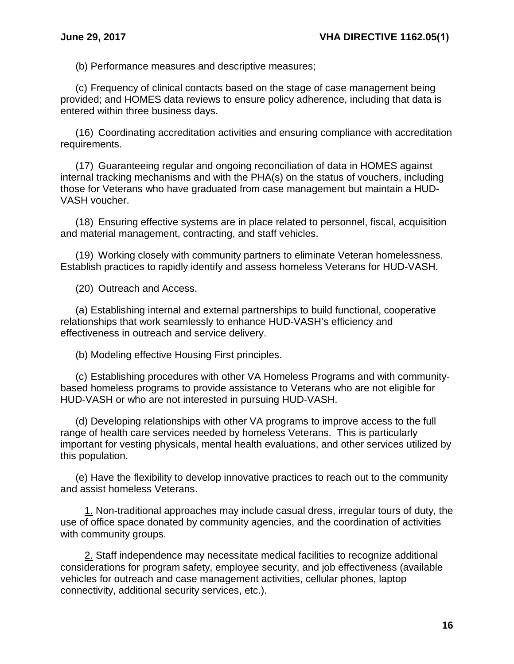(b) Performance measures and descriptive measures;

(c) Frequency of clinical contacts based on the stage of case management being provided; and HOMES data reviews to ensure policy adherence, including that data is entered within three business days.

(16) Coordinating accreditation activities and ensuring compliance with accreditation requirements.

(17) Guaranteeing regular and ongoing reconciliation of data in HOMES against internal tracking mechanisms and with the PHA(s) on the status of vouchers, including those for Veterans who have graduated from case management but maintain a HUD-VASH voucher.

(18) Ensuring effective systems are in place related to personnel, fiscal, acquisition and material management, contracting, and staff vehicles.

(19) Working closely with community partners to eliminate Veteran homelessness. Establish practices to rapidly identify and assess homeless Veterans for HUD-VASH.

(20) Outreach and Access.

(a) Establishing internal and external partnerships to build functional, cooperative relationships that work seamlessly to enhance HUD-VASH's efficiency and effectiveness in outreach and service delivery.

(b) Modeling effective Housing First principles.

(c) Establishing procedures with other VA Homeless Programs and with communitybased homeless programs to provide assistance to Veterans who are not eligible for HUD-VASH or who are not interested in pursuing HUD-VASH.

(d) Developing relationships with other VA programs to improve access to the full range of health care services needed by homeless Veterans. This is particularly important for vesting physicals, mental health evaluations, and other services utilized by this population.

(e) Have the flexibility to develop innovative practices to reach out to the community and assist homeless Veterans.

1. Non-traditional approaches may include casual dress, irregular tours of duty, the use of office space donated by community agencies, and the coordination of activities with community groups.

2. Staff independence may necessitate medical facilities to recognize additional considerations for program safety, employee security, and job effectiveness (available vehicles for outreach and case management activities, cellular phones, laptop connectivity, additional security services, etc.).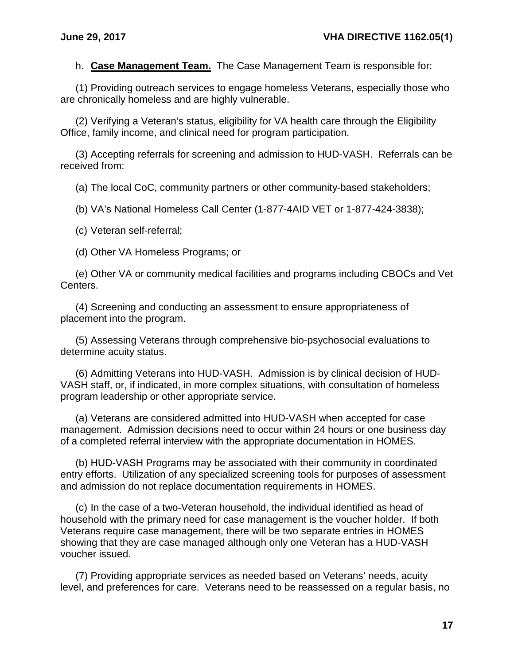h. **Case Management Team.** The Case Management Team is responsible for:

(1) Providing outreach services to engage homeless Veterans, especially those who are chronically homeless and are highly vulnerable.

(2) Verifying a Veteran's status, eligibility for VA health care through the Eligibility Office, family income, and clinical need for program participation.

(3) Accepting referrals for screening and admission to HUD-VASH. Referrals can be received from:

(a) The local CoC, community partners or other community-based stakeholders;

(b) VA's National Homeless Call Center (1-877-4AID VET or 1-877-424-3838);

(c) Veteran self-referral;

(d) Other VA Homeless Programs; or

(e) Other VA or community medical facilities and programs including CBOCs and Vet Centers.

(4) Screening and conducting an assessment to ensure appropriateness of placement into the program.

(5) Assessing Veterans through comprehensive bio-psychosocial evaluations to determine acuity status.

(6) Admitting Veterans into HUD-VASH. Admission is by clinical decision of HUD-VASH staff, or, if indicated, in more complex situations, with consultation of homeless program leadership or other appropriate service.

(a) Veterans are considered admitted into HUD-VASH when accepted for case management. Admission decisions need to occur within 24 hours or one business day of a completed referral interview with the appropriate documentation in HOMES.

(b) HUD-VASH Programs may be associated with their community in coordinated entry efforts. Utilization of any specialized screening tools for purposes of assessment and admission do not replace documentation requirements in HOMES.

(c) In the case of a two-Veteran household, the individual identified as head of household with the primary need for case management is the voucher holder. If both Veterans require case management, there will be two separate entries in HOMES showing that they are case managed although only one Veteran has a HUD-VASH voucher issued.

(7) Providing appropriate services as needed based on Veterans' needs, acuity level, and preferences for care. Veterans need to be reassessed on a regular basis, no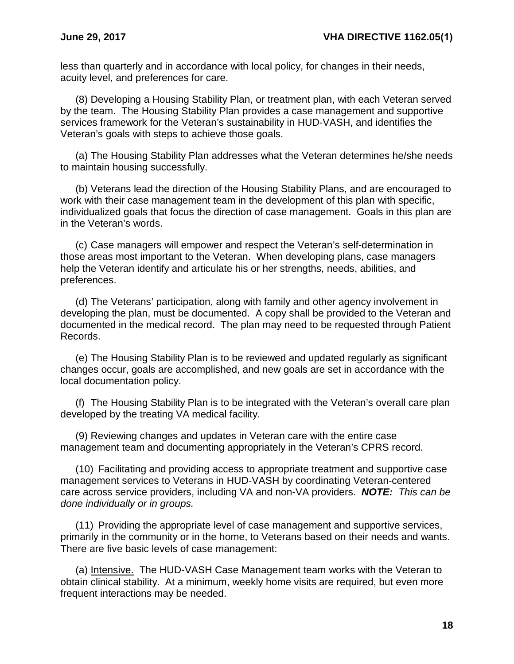less than quarterly and in accordance with local policy, for changes in their needs, acuity level, and preferences for care.

(8) Developing a Housing Stability Plan, or treatment plan, with each Veteran served by the team. The Housing Stability Plan provides a case management and supportive services framework for the Veteran's sustainability in HUD-VASH, and identifies the Veteran's goals with steps to achieve those goals.

(a) The Housing Stability Plan addresses what the Veteran determines he/she needs to maintain housing successfully.

(b) Veterans lead the direction of the Housing Stability Plans, and are encouraged to work with their case management team in the development of this plan with specific, individualized goals that focus the direction of case management. Goals in this plan are in the Veteran's words.

(c) Case managers will empower and respect the Veteran's self-determination in those areas most important to the Veteran. When developing plans, case managers help the Veteran identify and articulate his or her strengths, needs, abilities, and preferences.

(d) The Veterans' participation, along with family and other agency involvement in developing the plan, must be documented. A copy shall be provided to the Veteran and documented in the medical record. The plan may need to be requested through Patient Records.

(e) The Housing Stability Plan is to be reviewed and updated regularly as significant changes occur, goals are accomplished, and new goals are set in accordance with the local documentation policy.

(f) The Housing Stability Plan is to be integrated with the Veteran's overall care plan developed by the treating VA medical facility.

(9) Reviewing changes and updates in Veteran care with the entire case management team and documenting appropriately in the Veteran's CPRS record.

(10) Facilitating and providing access to appropriate treatment and supportive case management services to Veterans in HUD-VASH by coordinating Veteran-centered care across service providers, including VA and non-VA providers. *NOTE: This can be done individually or in groups.*

(11) Providing the appropriate level of case management and supportive services, primarily in the community or in the home, to Veterans based on their needs and wants. There are five basic levels of case management:

(a) Intensive. The HUD-VASH Case Management team works with the Veteran to obtain clinical stability. At a minimum, weekly home visits are required, but even more frequent interactions may be needed.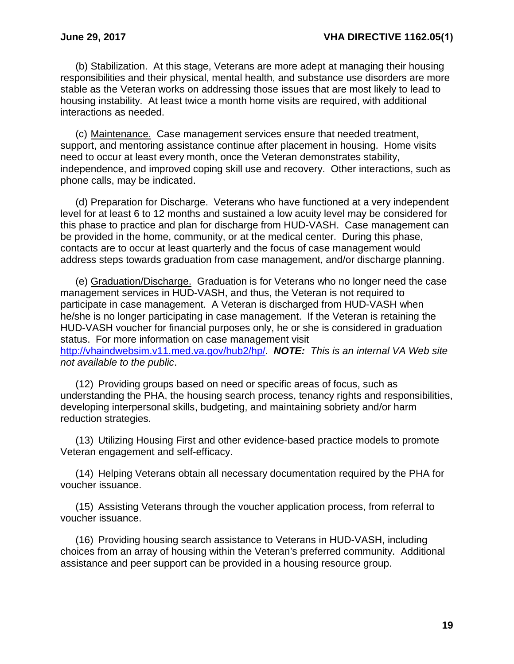(b) Stabilization. At this stage, Veterans are more adept at managing their housing responsibilities and their physical, mental health, and substance use disorders are more stable as the Veteran works on addressing those issues that are most likely to lead to housing instability. At least twice a month home visits are required, with additional interactions as needed.

(c) Maintenance. Case management services ensure that needed treatment, support, and mentoring assistance continue after placement in housing. Home visits need to occur at least every month, once the Veteran demonstrates stability, independence, and improved coping skill use and recovery. Other interactions, such as phone calls, may be indicated.

(d) Preparation for Discharge. Veterans who have functioned at a very independent level for at least 6 to 12 months and sustained a low acuity level may be considered for this phase to practice and plan for discharge from HUD-VASH. Case management can be provided in the home, community, or at the medical center. During this phase, contacts are to occur at least quarterly and the focus of case management would address steps towards graduation from case management, and/or discharge planning.

(e) Graduation/Discharge. Graduation is for Veterans who no longer need the case management services in HUD-VASH, and thus, the Veteran is not required to participate in case management. A Veteran is discharged from HUD-VASH when he/she is no longer participating in case management. If the Veteran is retaining the HUD-VASH voucher for financial purposes only, he or she is considered in graduation status. For more information on case management visit [http://vhaindwebsim.v11.med.va.gov/hub2/hp/.](http://vhaindwebsim.v11.med.va.gov/hub2/hp/) *NOTE: This is an internal VA Web site not available to the public*.

(12) Providing groups based on need or specific areas of focus, such as understanding the PHA, the housing search process, tenancy rights and responsibilities, developing interpersonal skills, budgeting, and maintaining sobriety and/or harm reduction strategies.

(13) Utilizing Housing First and other evidence-based practice models to promote Veteran engagement and self-efficacy.

(14) Helping Veterans obtain all necessary documentation required by the PHA for voucher issuance.

(15) Assisting Veterans through the voucher application process, from referral to voucher issuance.

(16) Providing housing search assistance to Veterans in HUD-VASH, including choices from an array of housing within the Veteran's preferred community. Additional assistance and peer support can be provided in a housing resource group.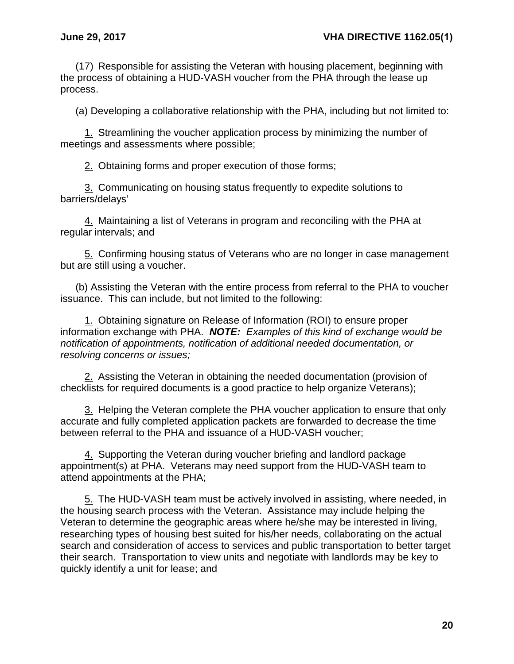(17) Responsible for assisting the Veteran with housing placement, beginning with the process of obtaining a HUD-VASH voucher from the PHA through the lease up process.

(a) Developing a collaborative relationship with the PHA, including but not limited to:

1. Streamlining the voucher application process by minimizing the number of meetings and assessments where possible;

2. Obtaining forms and proper execution of those forms;

3. Communicating on housing status frequently to expedite solutions to barriers/delays'

4. Maintaining a list of Veterans in program and reconciling with the PHA at regular intervals; and

5. Confirming housing status of Veterans who are no longer in case management but are still using a voucher.

(b) Assisting the Veteran with the entire process from referral to the PHA to voucher issuance. This can include, but not limited to the following:

1. Obtaining signature on Release of Information (ROI) to ensure proper information exchange with PHA. *NOTE: Examples of this kind of exchange would be notification of appointments, notification of additional needed documentation, or resolving concerns or issues;*

2. Assisting the Veteran in obtaining the needed documentation (provision of checklists for required documents is a good practice to help organize Veterans);

3. Helping the Veteran complete the PHA voucher application to ensure that only accurate and fully completed application packets are forwarded to decrease the time between referral to the PHA and issuance of a HUD-VASH voucher;

4. Supporting the Veteran during voucher briefing and landlord package appointment(s) at PHA. Veterans may need support from the HUD-VASH team to attend appointments at the PHA;

5. The HUD-VASH team must be actively involved in assisting, where needed, in the housing search process with the Veteran. Assistance may include helping the Veteran to determine the geographic areas where he/she may be interested in living, researching types of housing best suited for his/her needs, collaborating on the actual search and consideration of access to services and public transportation to better target their search. Transportation to view units and negotiate with landlords may be key to quickly identify a unit for lease; and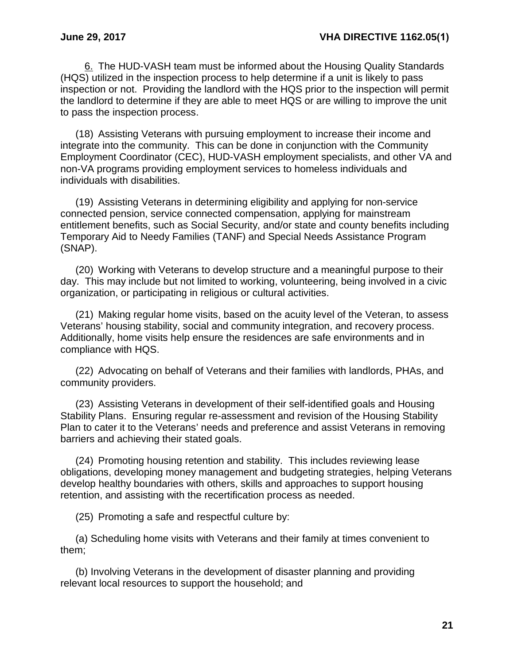6. The HUD-VASH team must be informed about the Housing Quality Standards (HQS) utilized in the inspection process to help determine if a unit is likely to pass inspection or not. Providing the landlord with the HQS prior to the inspection will permit the landlord to determine if they are able to meet HQS or are willing to improve the unit to pass the inspection process.

(18) Assisting Veterans with pursuing employment to increase their income and integrate into the community. This can be done in conjunction with the Community Employment Coordinator (CEC), HUD-VASH employment specialists, and other VA and non-VA programs providing employment services to homeless individuals and individuals with disabilities.

(19) Assisting Veterans in determining eligibility and applying for non-service connected pension, service connected compensation, applying for mainstream entitlement benefits, such as Social Security, and/or state and county benefits including Temporary Aid to Needy Families (TANF) and Special Needs Assistance Program (SNAP).

(20) Working with Veterans to develop structure and a meaningful purpose to their day. This may include but not limited to working, volunteering, being involved in a civic organization, or participating in religious or cultural activities.

(21) Making regular home visits, based on the acuity level of the Veteran, to assess Veterans' housing stability, social and community integration, and recovery process. Additionally, home visits help ensure the residences are safe environments and in compliance with HQS.

(22) Advocating on behalf of Veterans and their families with landlords, PHAs, and community providers.

(23) Assisting Veterans in development of their self-identified goals and Housing Stability Plans. Ensuring regular re-assessment and revision of the Housing Stability Plan to cater it to the Veterans' needs and preference and assist Veterans in removing barriers and achieving their stated goals.

(24) Promoting housing retention and stability. This includes reviewing lease obligations, developing money management and budgeting strategies, helping Veterans develop healthy boundaries with others, skills and approaches to support housing retention, and assisting with the recertification process as needed.

(25) Promoting a safe and respectful culture by:

(a) Scheduling home visits with Veterans and their family at times convenient to them;

(b) Involving Veterans in the development of disaster planning and providing relevant local resources to support the household; and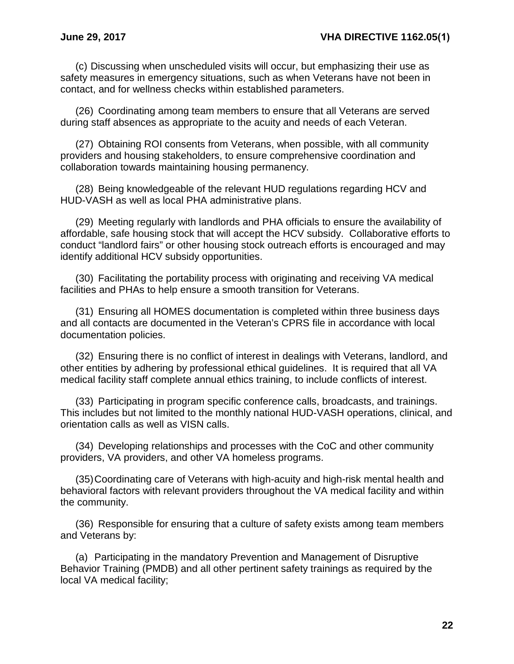(c) Discussing when unscheduled visits will occur, but emphasizing their use as safety measures in emergency situations, such as when Veterans have not been in contact, and for wellness checks within established parameters.

(26) Coordinating among team members to ensure that all Veterans are served during staff absences as appropriate to the acuity and needs of each Veteran.

(27) Obtaining ROI consents from Veterans, when possible, with all community providers and housing stakeholders, to ensure comprehensive coordination and collaboration towards maintaining housing permanency.

(28) Being knowledgeable of the relevant HUD regulations regarding HCV and HUD-VASH as well as local PHA administrative plans.

(29) Meeting regularly with landlords and PHA officials to ensure the availability of affordable, safe housing stock that will accept the HCV subsidy. Collaborative efforts to conduct "landlord fairs" or other housing stock outreach efforts is encouraged and may identify additional HCV subsidy opportunities.

(30) Facilitating the portability process with originating and receiving VA medical facilities and PHAs to help ensure a smooth transition for Veterans.

(31) Ensuring all HOMES documentation is completed within three business days and all contacts are documented in the Veteran's CPRS file in accordance with local documentation policies.

(32) Ensuring there is no conflict of interest in dealings with Veterans, landlord, and other entities by adhering by professional ethical guidelines. It is required that all VA medical facility staff complete annual ethics training, to include conflicts of interest.

(33) Participating in program specific conference calls, broadcasts, and trainings. This includes but not limited to the monthly national HUD-VASH operations, clinical, and orientation calls as well as VISN calls.

(34) Developing relationships and processes with the CoC and other community providers, VA providers, and other VA homeless programs.

(35)Coordinating care of Veterans with high-acuity and high-risk mental health and behavioral factors with relevant providers throughout the VA medical facility and within the community.

(36) Responsible for ensuring that a culture of safety exists among team members and Veterans by:

(a) Participating in the mandatory Prevention and Management of Disruptive Behavior Training (PMDB) and all other pertinent safety trainings as required by the local VA medical facility;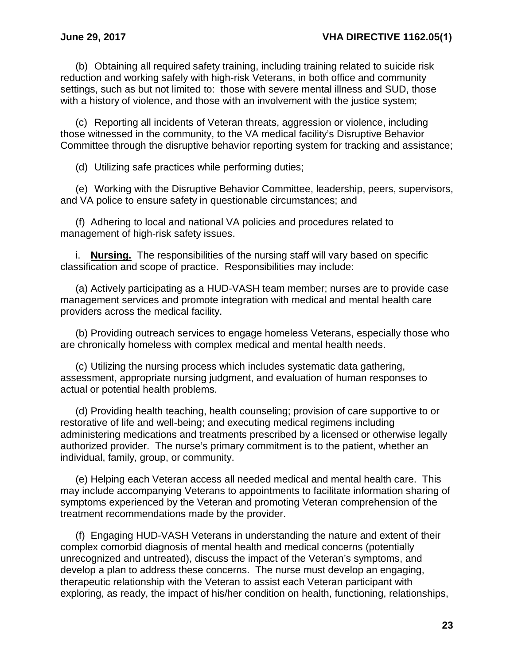(b) Obtaining all required safety training, including training related to suicide risk reduction and working safely with high-risk Veterans, in both office and community settings, such as but not limited to: those with severe mental illness and SUD, those with a history of violence, and those with an involvement with the justice system;

(c) Reporting all incidents of Veteran threats, aggression or violence, including those witnessed in the community, to the VA medical facility's Disruptive Behavior Committee through the disruptive behavior reporting system for tracking and assistance;

(d) Utilizing safe practices while performing duties;

(e) Working with the Disruptive Behavior Committee, leadership, peers, supervisors, and VA police to ensure safety in questionable circumstances; and

(f) Adhering to local and national VA policies and procedures related to management of high-risk safety issues.

i. **Nursing.** The responsibilities of the nursing staff will vary based on specific classification and scope of practice. Responsibilities may include:

(a) Actively participating as a HUD-VASH team member; nurses are to provide case management services and promote integration with medical and mental health care providers across the medical facility.

(b) Providing outreach services to engage homeless Veterans, especially those who are chronically homeless with complex medical and mental health needs.

(c) Utilizing the nursing process which includes systematic data gathering, assessment, appropriate nursing judgment, and evaluation of human responses to actual or potential health problems.

(d) Providing health teaching, health counseling; provision of care supportive to or restorative of life and well-being; and executing medical regimens including administering medications and treatments prescribed by a licensed or otherwise legally authorized provider. The nurse's primary commitment is to the patient, whether an individual, family, group, or community.

(e) Helping each Veteran access all needed medical and mental health care. This may include accompanying Veterans to appointments to facilitate information sharing of symptoms experienced by the Veteran and promoting Veteran comprehension of the treatment recommendations made by the provider.

(f) Engaging HUD-VASH Veterans in understanding the nature and extent of their complex comorbid diagnosis of mental health and medical concerns (potentially unrecognized and untreated), discuss the impact of the Veteran's symptoms, and develop a plan to address these concerns. The nurse must develop an engaging, therapeutic relationship with the Veteran to assist each Veteran participant with exploring, as ready, the impact of his/her condition on health, functioning, relationships,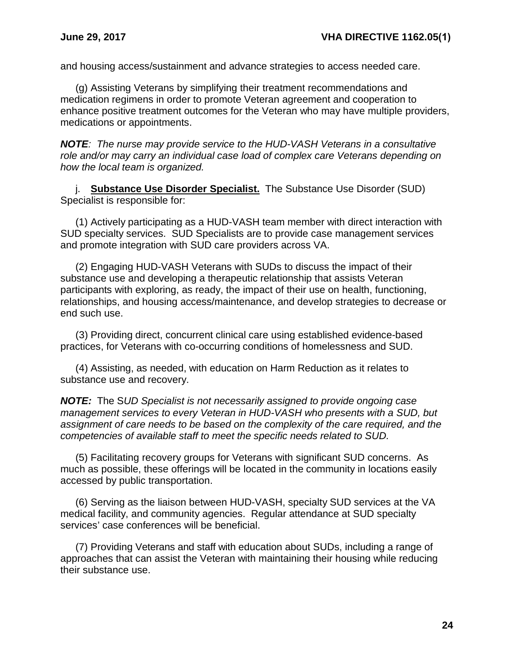and housing access/sustainment and advance strategies to access needed care.

(g) Assisting Veterans by simplifying their treatment recommendations and medication regimens in order to promote Veteran agreement and cooperation to enhance positive treatment outcomes for the Veteran who may have multiple providers, medications or appointments.

*NOTE: The nurse may provide service to the HUD-VASH Veterans in a consultative role and/or may carry an individual case load of complex care Veterans depending on how the local team is organized.*

j. **Substance Use Disorder Specialist.** The Substance Use Disorder (SUD) Specialist is responsible for:

(1) Actively participating as a HUD-VASH team member with direct interaction with SUD specialty services. SUD Specialists are to provide case management services and promote integration with SUD care providers across VA.

(2) Engaging HUD-VASH Veterans with SUDs to discuss the impact of their substance use and developing a therapeutic relationship that assists Veteran participants with exploring, as ready, the impact of their use on health, functioning, relationships, and housing access/maintenance, and develop strategies to decrease or end such use.

(3) Providing direct, concurrent clinical care using established evidence-based practices, for Veterans with co-occurring conditions of homelessness and SUD.

(4) Assisting, as needed, with education on Harm Reduction as it relates to substance use and recovery.

*NOTE:* The S*UD Specialist is not necessarily assigned to provide ongoing case management services to every Veteran in HUD-VASH who presents with a SUD, but assignment of care needs to be based on the complexity of the care required, and the competencies of available staff to meet the specific needs related to SUD.*

(5) Facilitating recovery groups for Veterans with significant SUD concerns. As much as possible, these offerings will be located in the community in locations easily accessed by public transportation.

(6) Serving as the liaison between HUD-VASH, specialty SUD services at the VA medical facility, and community agencies. Regular attendance at SUD specialty services' case conferences will be beneficial.

(7) Providing Veterans and staff with education about SUDs, including a range of approaches that can assist the Veteran with maintaining their housing while reducing their substance use.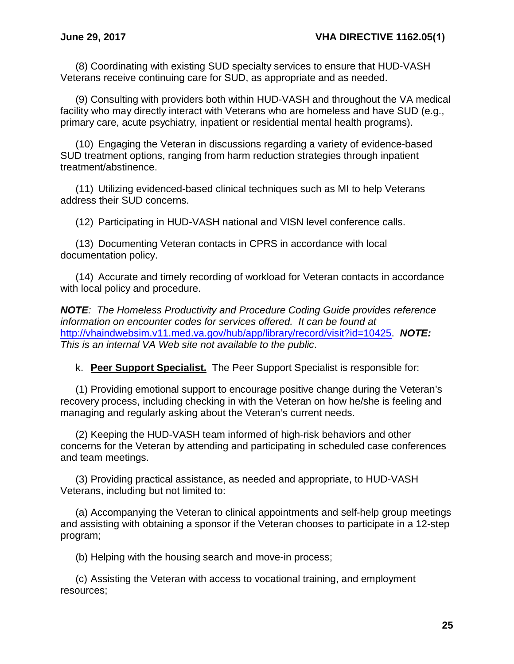(8) Coordinating with existing SUD specialty services to ensure that HUD-VASH Veterans receive continuing care for SUD, as appropriate and as needed.

(9) Consulting with providers both within HUD-VASH and throughout the VA medical facility who may directly interact with Veterans who are homeless and have SUD (e.g., primary care, acute psychiatry, inpatient or residential mental health programs).

(10) Engaging the Veteran in discussions regarding a variety of evidence-based SUD treatment options, ranging from harm reduction strategies through inpatient treatment/abstinence.

(11) Utilizing evidenced-based clinical techniques such as MI to help Veterans address their SUD concerns.

(12) Participating in HUD-VASH national and VISN level conference calls.

(13) Documenting Veteran contacts in CPRS in accordance with local documentation policy.

(14) Accurate and timely recording of workload for Veteran contacts in accordance with local policy and procedure.

*NOTE: The Homeless Productivity and Procedure Coding Guide provides reference information on encounter codes for services offered. It can be found at*  [http://vhaindwebsim.v11.med.va.gov/hub/app/library/record/visit?id=10425.](http://vhaindwebsim.v11.med.va.gov/hub/app/library/record/visit?id=10425) *NOTE: This is an internal VA Web site not available to the public*.

k. **Peer Support Specialist.** The Peer Support Specialist is responsible for:

(1) Providing emotional support to encourage positive change during the Veteran's recovery process, including checking in with the Veteran on how he/she is feeling and managing and regularly asking about the Veteran's current needs.

(2) Keeping the HUD-VASH team informed of high-risk behaviors and other concerns for the Veteran by attending and participating in scheduled case conferences and team meetings.

(3) Providing practical assistance, as needed and appropriate, to HUD-VASH Veterans, including but not limited to:

(a) Accompanying the Veteran to clinical appointments and self-help group meetings and assisting with obtaining a sponsor if the Veteran chooses to participate in a 12-step program;

(b) Helping with the housing search and move-in process;

(c) Assisting the Veteran with access to vocational training, and employment resources;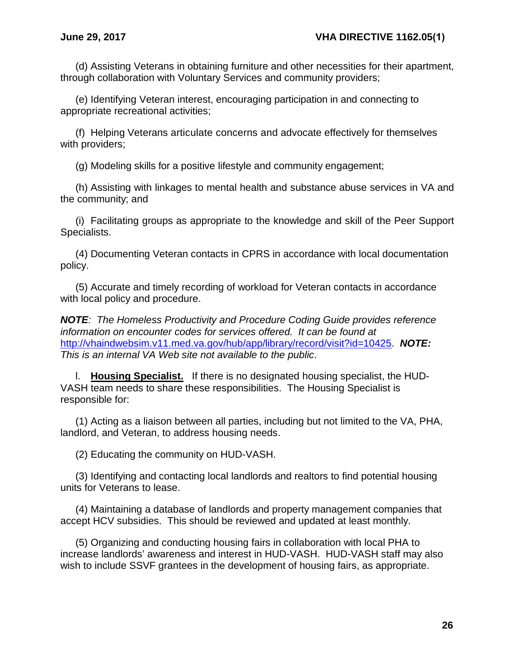(d) Assisting Veterans in obtaining furniture and other necessities for their apartment, through collaboration with Voluntary Services and community providers;

(e) Identifying Veteran interest, encouraging participation in and connecting to appropriate recreational activities;

(f) Helping Veterans articulate concerns and advocate effectively for themselves with providers;

(g) Modeling skills for a positive lifestyle and community engagement;

(h) Assisting with linkages to mental health and substance abuse services in VA and the community; and

(i) Facilitating groups as appropriate to the knowledge and skill of the Peer Support Specialists.

(4) Documenting Veteran contacts in CPRS in accordance with local documentation policy.

(5) Accurate and timely recording of workload for Veteran contacts in accordance with local policy and procedure.

*NOTE: The Homeless Productivity and Procedure Coding Guide provides reference information on encounter codes for services offered. It can be found at*  [http://vhaindwebsim.v11.med.va.gov/hub/app/library/record/visit?id=10425.](http://vhaindwebsim.v11.med.va.gov/hub/app/library/record/visit?id=10425) *NOTE: This is an internal VA Web site not available to the public*.

l. **Housing Specialist.** If there is no designated housing specialist, the HUD-VASH team needs to share these responsibilities. The Housing Specialist is responsible for:

(1) Acting as a liaison between all parties, including but not limited to the VA, PHA, landlord, and Veteran, to address housing needs.

(2) Educating the community on HUD-VASH.

(3) Identifying and contacting local landlords and realtors to find potential housing units for Veterans to lease.

(4) Maintaining a database of landlords and property management companies that accept HCV subsidies. This should be reviewed and updated at least monthly.

(5) Organizing and conducting housing fairs in collaboration with local PHA to increase landlords' awareness and interest in HUD-VASH. HUD-VASH staff may also wish to include SSVF grantees in the development of housing fairs, as appropriate.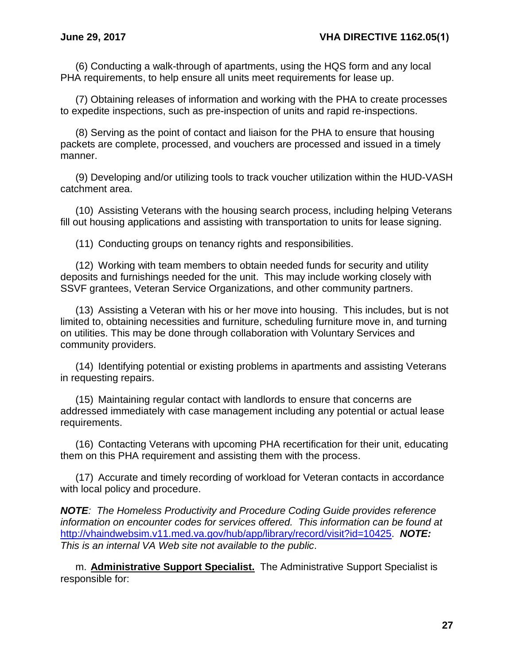(6) Conducting a walk-through of apartments, using the HQS form and any local PHA requirements, to help ensure all units meet requirements for lease up.

(7) Obtaining releases of information and working with the PHA to create processes to expedite inspections, such as pre-inspection of units and rapid re-inspections.

(8) Serving as the point of contact and liaison for the PHA to ensure that housing packets are complete, processed, and vouchers are processed and issued in a timely manner.

(9) Developing and/or utilizing tools to track voucher utilization within the HUD-VASH catchment area.

(10) Assisting Veterans with the housing search process, including helping Veterans fill out housing applications and assisting with transportation to units for lease signing.

(11) Conducting groups on tenancy rights and responsibilities.

(12) Working with team members to obtain needed funds for security and utility deposits and furnishings needed for the unit. This may include working closely with SSVF grantees, Veteran Service Organizations, and other community partners.

(13) Assisting a Veteran with his or her move into housing. This includes, but is not limited to, obtaining necessities and furniture, scheduling furniture move in, and turning on utilities. This may be done through collaboration with Voluntary Services and community providers.

(14) Identifying potential or existing problems in apartments and assisting Veterans in requesting repairs.

(15) Maintaining regular contact with landlords to ensure that concerns are addressed immediately with case management including any potential or actual lease requirements.

(16) Contacting Veterans with upcoming PHA recertification for their unit, educating them on this PHA requirement and assisting them with the process.

(17) Accurate and timely recording of workload for Veteran contacts in accordance with local policy and procedure.

*NOTE: The Homeless Productivity and Procedure Coding Guide provides reference information on encounter codes for services offered. This information can be found at*  [http://vhaindwebsim.v11.med.va.gov/hub/app/library/record/visit?id=10425.](http://vhaindwebsim.v11.med.va.gov/hub/app/library/record/visit?id=10425) *NOTE: This is an internal VA Web site not available to the public*.

m. **Administrative Support Specialist.** The Administrative Support Specialist is responsible for: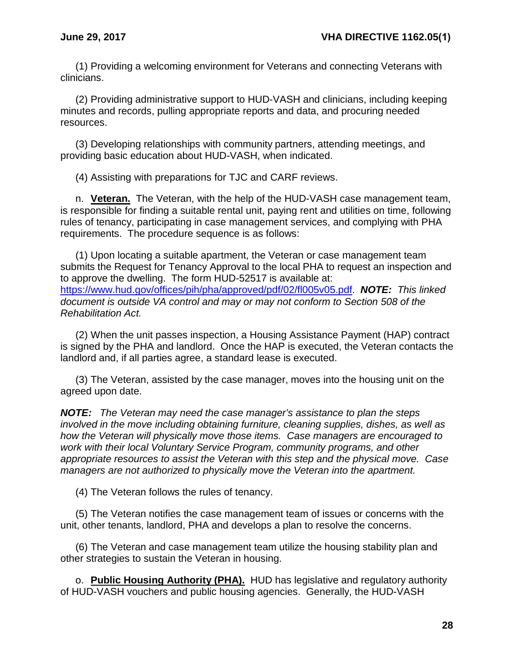(1) Providing a welcoming environment for Veterans and connecting Veterans with clinicians.

(2) Providing administrative support to HUD-VASH and clinicians, including keeping minutes and records, pulling appropriate reports and data, and procuring needed resources.

(3) Developing relationships with community partners, attending meetings, and providing basic education about HUD-VASH, when indicated.

(4) Assisting with preparations for TJC and CARF reviews.

n. **Veteran.** The Veteran, with the help of the HUD-VASH case management team, is responsible for finding a suitable rental unit, paying rent and utilities on time, following rules of tenancy, participating in case management services, and complying with PHA requirements. The procedure sequence is as follows:

(1) Upon locating a suitable apartment, the Veteran or case management team submits the Request for Tenancy Approval to the local PHA to request an inspection and to approve the dwelling. The form HUD-52517 is available at: [https://www.hud.gov/offices/pih/pha/approved/pdf/02/fl005v05.pdf.](https://www.hud.gov/offices/pih/pha/approved/pdf/02/fl005v05.pdf) *NOTE: This linked document is outside VA control and may or may not conform to Section 508 of the Rehabilitation Act.*

(2) When the unit passes inspection, a Housing Assistance Payment (HAP) contract is signed by the PHA and landlord. Once the HAP is executed, the Veteran contacts the landlord and, if all parties agree, a standard lease is executed.

(3) The Veteran, assisted by the case manager, moves into the housing unit on the agreed upon date.

*NOTE: The Veteran may need the case manager's assistance to plan the steps involved in the move including obtaining furniture, cleaning supplies, dishes, as well as how the Veteran will physically move those items. Case managers are encouraged to work with their local Voluntary Service Program, community programs, and other appropriate resources to assist the Veteran with this step and the physical move. Case managers are not authorized to physically move the Veteran into the apartment.*

(4) The Veteran follows the rules of tenancy.

(5) The Veteran notifies the case management team of issues or concerns with the unit, other tenants, landlord, PHA and develops a plan to resolve the concerns.

(6) The Veteran and case management team utilize the housing stability plan and other strategies to sustain the Veteran in housing.

o. **Public Housing Authority (PHA).** HUD has legislative and regulatory authority of HUD-VASH vouchers and public housing agencies. Generally, the HUD-VASH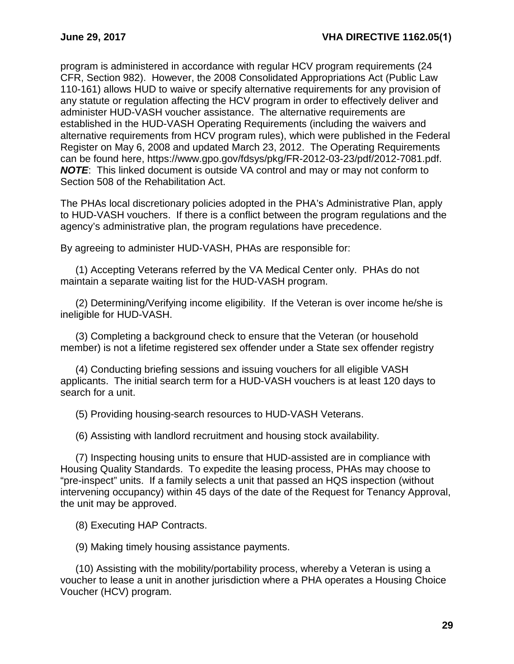program is administered in accordance with regular HCV program requirements (24 CFR, Section 982). However, the 2008 Consolidated Appropriations Act (Public Law 110-161) allows HUD to waive or specify alternative requirements for any provision of any statute or regulation affecting the HCV program in order to effectively deliver and administer HUD-VASH voucher assistance. The alternative requirements are established in the HUD-VASH Operating Requirements (including the waivers and alternative requirements from HCV program rules), which were published in the Federal Register on May 6, 2008 and updated March 23, 2012. The Operating Requirements can be found here, https://www.gpo.gov/fdsys/pkg/FR-2012-03-23/pdf/2012-7081.pdf. *NOTE*: This linked document is outside VA control and may or may not conform to Section 508 of the Rehabilitation Act.

The PHAs local discretionary policies adopted in the PHA's Administrative Plan, apply to HUD-VASH vouchers. If there is a conflict between the program regulations and the agency's administrative plan, the program regulations have precedence.

By agreeing to administer HUD-VASH, PHAs are responsible for:

(1) Accepting Veterans referred by the VA Medical Center only. PHAs do not maintain a separate waiting list for the HUD-VASH program.

(2) Determining/Verifying income eligibility. If the Veteran is over income he/she is ineligible for HUD-VASH.

(3) Completing a background check to ensure that the Veteran (or household member) is not a lifetime registered sex offender under a State sex offender registry

(4) Conducting briefing sessions and issuing vouchers for all eligible VASH applicants. The initial search term for a HUD-VASH vouchers is at least 120 days to search for a unit.

(5) Providing housing-search resources to HUD-VASH Veterans.

(6) Assisting with landlord recruitment and housing stock availability.

(7) Inspecting housing units to ensure that HUD-assisted are in compliance with Housing Quality Standards. To expedite the leasing process, PHAs may choose to "pre-inspect" units. If a family selects a unit that passed an HQS inspection (without intervening occupancy) within 45 days of the date of the Request for Tenancy Approval, the unit may be approved.

(8) Executing HAP Contracts.

(9) Making timely housing assistance payments.

(10) Assisting with the mobility/portability process, whereby a Veteran is using a voucher to lease a unit in another jurisdiction where a PHA operates a Housing Choice Voucher (HCV) program.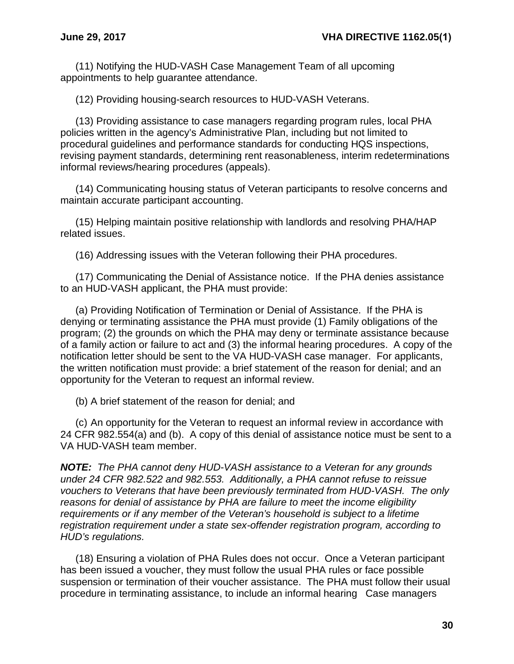(11) Notifying the HUD-VASH Case Management Team of all upcoming appointments to help guarantee attendance.

(12) Providing housing-search resources to HUD-VASH Veterans.

(13) Providing assistance to case managers regarding program rules, local PHA policies written in the agency's Administrative Plan, including but not limited to procedural guidelines and performance standards for conducting HQS inspections, revising payment standards, determining rent reasonableness, interim redeterminations informal reviews/hearing procedures (appeals).

(14) Communicating housing status of Veteran participants to resolve concerns and maintain accurate participant accounting.

(15) Helping maintain positive relationship with landlords and resolving PHA/HAP related issues.

(16) Addressing issues with the Veteran following their PHA procedures.

(17) Communicating the Denial of Assistance notice. If the PHA denies assistance to an HUD-VASH applicant, the PHA must provide:

(a) Providing Notification of Termination or Denial of Assistance. If the PHA is denying or terminating assistance the PHA must provide (1) Family obligations of the program; (2) the grounds on which the PHA may deny or terminate assistance because of a family action or failure to act and (3) the informal hearing procedures. A copy of the notification letter should be sent to the VA HUD-VASH case manager. For applicants, the written notification must provide: a brief statement of the reason for denial; and an opportunity for the Veteran to request an informal review.

(b) A brief statement of the reason for denial; and

(c) An opportunity for the Veteran to request an informal review in accordance with 24 CFR 982.554(a) and (b). A copy of this denial of assistance notice must be sent to a VA HUD-VASH team member.

*NOTE: The PHA cannot deny HUD-VASH assistance to a Veteran for any grounds under 24 CFR 982.522 and 982.553. Additionally, a PHA cannot refuse to reissue vouchers to Veterans that have been previously terminated from HUD-VASH. The only reasons for denial of assistance by PHA are failure to meet the income eligibility requirements or if any member of the Veteran's household is subject to a lifetime registration requirement under a state sex-offender registration program, according to HUD's regulations.*

(18) Ensuring a violation of PHA Rules does not occur. Once a Veteran participant has been issued a voucher, they must follow the usual PHA rules or face possible suspension or termination of their voucher assistance. The PHA must follow their usual procedure in terminating assistance, to include an informal hearing Case managers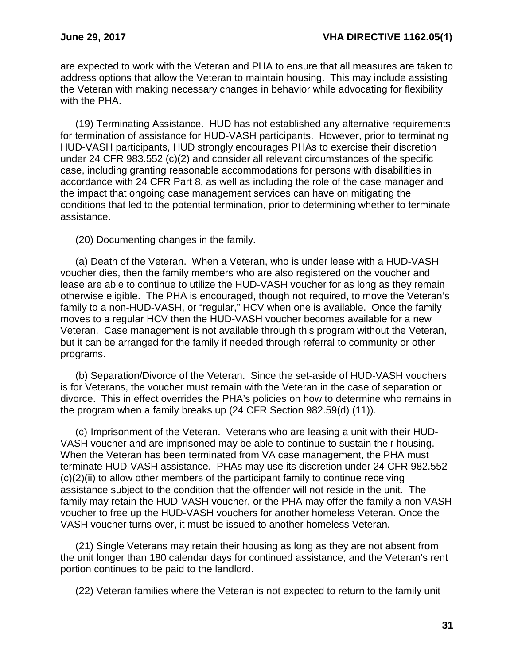are expected to work with the Veteran and PHA to ensure that all measures are taken to address options that allow the Veteran to maintain housing. This may include assisting the Veteran with making necessary changes in behavior while advocating for flexibility with the PHA.

(19) Terminating Assistance. HUD has not established any alternative requirements for termination of assistance for HUD-VASH participants. However, prior to terminating HUD-VASH participants, HUD strongly encourages PHAs to exercise their discretion under 24 CFR 983.552 (c)(2) and consider all relevant circumstances of the specific case, including granting reasonable accommodations for persons with disabilities in accordance with 24 CFR Part 8, as well as including the role of the case manager and the impact that ongoing case management services can have on mitigating the conditions that led to the potential termination, prior to determining whether to terminate assistance.

(20) Documenting changes in the family.

(a) Death of the Veteran. When a Veteran, who is under lease with a HUD-VASH voucher dies, then the family members who are also registered on the voucher and lease are able to continue to utilize the HUD-VASH voucher for as long as they remain otherwise eligible. The PHA is encouraged, though not required, to move the Veteran's family to a non-HUD-VASH, or "regular," HCV when one is available. Once the family moves to a regular HCV then the HUD-VASH voucher becomes available for a new Veteran. Case management is not available through this program without the Veteran, but it can be arranged for the family if needed through referral to community or other programs.

(b) Separation/Divorce of the Veteran. Since the set-aside of HUD-VASH vouchers is for Veterans, the voucher must remain with the Veteran in the case of separation or divorce. This in effect overrides the PHA's policies on how to determine who remains in the program when a family breaks up (24 CFR Section 982.59(d) (11)).

(c) Imprisonment of the Veteran. Veterans who are leasing a unit with their HUD-VASH voucher and are imprisoned may be able to continue to sustain their housing. When the Veteran has been terminated from VA case management, the PHA must terminate HUD-VASH assistance. PHAs may use its discretion under 24 CFR 982.552  $(c)(2)(ii)$  to allow other members of the participant family to continue receiving assistance subject to the condition that the offender will not reside in the unit. The family may retain the HUD-VASH voucher, or the PHA may offer the family a non-VASH voucher to free up the HUD-VASH vouchers for another homeless Veteran. Once the VASH voucher turns over, it must be issued to another homeless Veteran.

(21) Single Veterans may retain their housing as long as they are not absent from the unit longer than 180 calendar days for continued assistance, and the Veteran's rent portion continues to be paid to the landlord.

(22) Veteran families where the Veteran is not expected to return to the family unit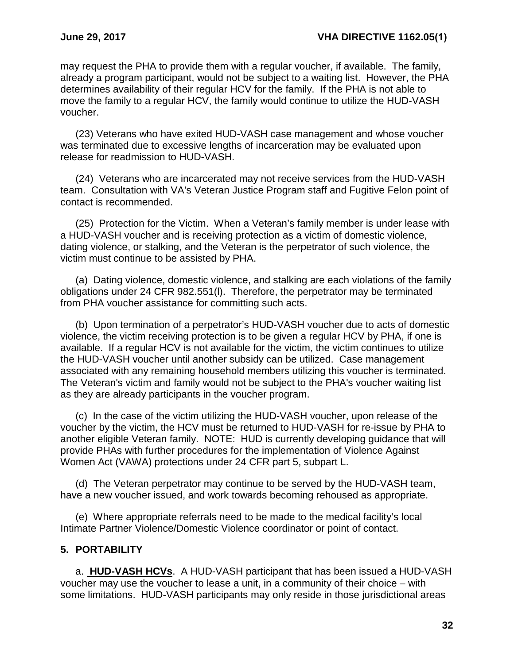may request the PHA to provide them with a regular voucher, if available. The family, already a program participant, would not be subject to a waiting list. However, the PHA determines availability of their regular HCV for the family. If the PHA is not able to move the family to a regular HCV, the family would continue to utilize the HUD-VASH voucher.

(23) Veterans who have exited HUD-VASH case management and whose voucher was terminated due to excessive lengths of incarceration may be evaluated upon release for readmission to HUD-VASH.

(24) Veterans who are incarcerated may not receive services from the HUD-VASH team. Consultation with VA's Veteran Justice Program staff and Fugitive Felon point of contact is recommended.

(25) Protection for the Victim. When a Veteran's family member is under lease with a HUD-VASH voucher and is receiving protection as a victim of domestic violence, dating violence, or stalking, and the Veteran is the perpetrator of such violence, the victim must continue to be assisted by PHA.

(a) Dating violence, domestic violence, and stalking are each violations of the family obligations under 24 CFR 982.551(l). Therefore, the perpetrator may be terminated from PHA voucher assistance for committing such acts.

(b) Upon termination of a perpetrator's HUD-VASH voucher due to acts of domestic violence, the victim receiving protection is to be given a regular HCV by PHA, if one is available. If a regular HCV is not available for the victim, the victim continues to utilize the HUD-VASH voucher until another subsidy can be utilized. Case management associated with any remaining household members utilizing this voucher is terminated. The Veteran's victim and family would not be subject to the PHA's voucher waiting list as they are already participants in the voucher program.

(c) In the case of the victim utilizing the HUD-VASH voucher, upon release of the voucher by the victim, the HCV must be returned to HUD-VASH for re-issue by PHA to another eligible Veteran family. NOTE: HUD is currently developing guidance that will provide PHAs with further procedures for the implementation of Violence Against Women Act (VAWA) protections under 24 CFR part 5, subpart L.

(d) The Veteran perpetrator may continue to be served by the HUD-VASH team, have a new voucher issued, and work towards becoming rehoused as appropriate.

(e) Where appropriate referrals need to be made to the medical facility's local Intimate Partner Violence/Domestic Violence coordinator or point of contact.

# <span id="page-34-0"></span>**5. PORTABILITY**

a. **HUD-VASH HCVs**. A HUD-VASH participant that has been issued a HUD-VASH voucher may use the voucher to lease a unit, in a community of their choice – with some limitations. HUD-VASH participants may only reside in those jurisdictional areas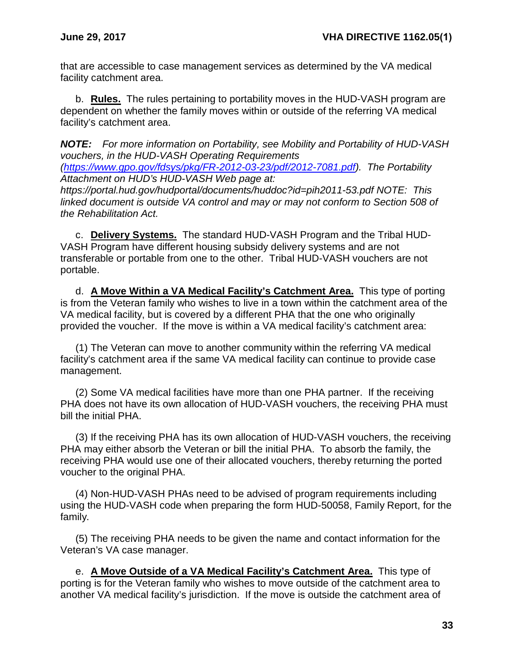that are accessible to case management services as determined by the VA medical facility catchment area.

b. **Rules.** The rules pertaining to portability moves in the HUD-VASH program are dependent on whether the family moves within or outside of the referring VA medical facility's catchment area.

*NOTE: For more information on Portability, see Mobility and Portability of HUD-VASH vouchers, in the HUD-VASH Operating Requirements* 

*[\(https://www.gpo.gov/fdsys/pkg/FR-2012-03-23/pdf/2012-7081.pdf\)](https://www.gpo.gov/fdsys/pkg/FR-2012-03-23/pdf/2012-7081.pdf). The Portability Attachment on HUD's HUD-VASH Web page at:* 

*https://portal.hud.gov/hudportal/documents/huddoc?id=pih2011-53.pdf NOTE: This linked document is outside VA control and may or may not conform to Section 508 of the Rehabilitation Act.*

c. **Delivery Systems.** The standard HUD-VASH Program and the Tribal HUD-VASH Program have different housing subsidy delivery systems and are not transferable or portable from one to the other. Tribal HUD-VASH vouchers are not portable.

d. **A Move Within a VA Medical Facility's Catchment Area.** This type of porting is from the Veteran family who wishes to live in a town within the catchment area of the VA medical facility, but is covered by a different PHA that the one who originally provided the voucher. If the move is within a VA medical facility's catchment area:

(1) The Veteran can move to another community within the referring VA medical facility's catchment area if the same VA medical facility can continue to provide case management.

(2) Some VA medical facilities have more than one PHA partner. If the receiving PHA does not have its own allocation of HUD-VASH vouchers, the receiving PHA must bill the initial PHA.

(3) If the receiving PHA has its own allocation of HUD-VASH vouchers, the receiving PHA may either absorb the Veteran or bill the initial PHA. To absorb the family, the receiving PHA would use one of their allocated vouchers, thereby returning the ported voucher to the original PHA.

(4) Non-HUD-VASH PHAs need to be advised of program requirements including using the HUD-VASH code when preparing the form HUD-50058, Family Report, for the family.

(5) The receiving PHA needs to be given the name and contact information for the Veteran's VA case manager.

e. **A Move Outside of a VA Medical Facility's Catchment Area.** This type of porting is for the Veteran family who wishes to move outside of the catchment area to another VA medical facility's jurisdiction. If the move is outside the catchment area of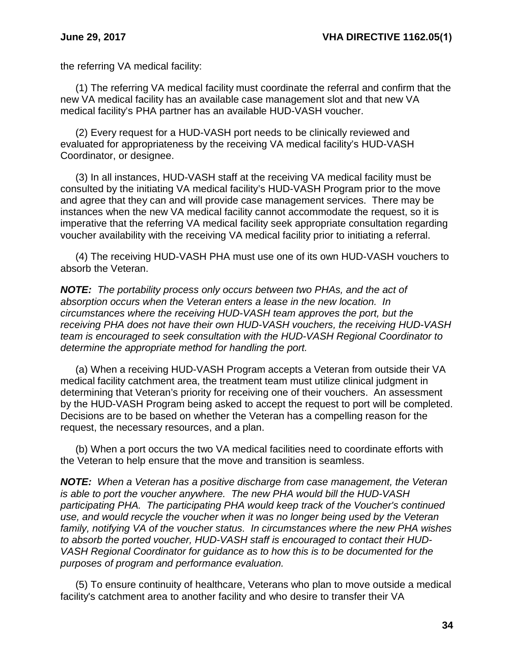the referring VA medical facility:

(1) The referring VA medical facility must coordinate the referral and confirm that the new VA medical facility has an available case management slot and that new VA medical facility's PHA partner has an available HUD-VASH voucher.

(2) Every request for a HUD-VASH port needs to be clinically reviewed and evaluated for appropriateness by the receiving VA medical facility's HUD-VASH Coordinator, or designee.

(3) In all instances, HUD-VASH staff at the receiving VA medical facility must be consulted by the initiating VA medical facility's HUD-VASH Program prior to the move and agree that they can and will provide case management services. There may be instances when the new VA medical facility cannot accommodate the request, so it is imperative that the referring VA medical facility seek appropriate consultation regarding voucher availability with the receiving VA medical facility prior to initiating a referral.

(4) The receiving HUD-VASH PHA must use one of its own HUD-VASH vouchers to absorb the Veteran.

*NOTE: The portability process only occurs between two PHAs, and the act of absorption occurs when the Veteran enters a lease in the new location. In circumstances where the receiving HUD-VASH team approves the port, but the receiving PHA does not have their own HUD-VASH vouchers, the receiving HUD-VASH team is encouraged to seek consultation with the HUD-VASH Regional Coordinator to determine the appropriate method for handling the port.*

(a) When a receiving HUD-VASH Program accepts a Veteran from outside their VA medical facility catchment area, the treatment team must utilize clinical judgment in determining that Veteran's priority for receiving one of their vouchers. An assessment by the HUD-VASH Program being asked to accept the request to port will be completed. Decisions are to be based on whether the Veteran has a compelling reason for the request, the necessary resources, and a plan.

(b) When a port occurs the two VA medical facilities need to coordinate efforts with the Veteran to help ensure that the move and transition is seamless.

*NOTE: When a Veteran has a positive discharge from case management, the Veteran is able to port the voucher anywhere. The new PHA would bill the HUD-VASH participating PHA. The participating PHA would keep track of the Voucher's continued use, and would recycle the voucher when it was no longer being used by the Veteran family, notifying VA of the voucher status. In circumstances where the new PHA wishes to absorb the ported voucher, HUD-VASH staff is encouraged to contact their HUD-VASH Regional Coordinator for guidance as to how this is to be documented for the purposes of program and performance evaluation.*

(5) To ensure continuity of healthcare, Veterans who plan to move outside a medical facility's catchment area to another facility and who desire to transfer their VA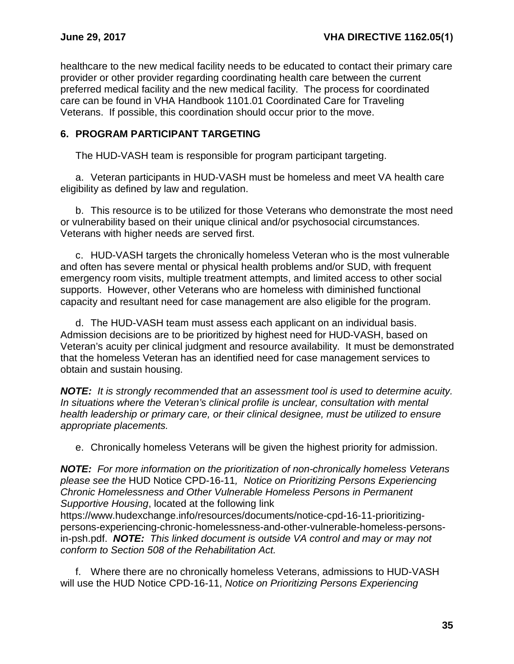healthcare to the new medical facility needs to be educated to contact their primary care provider or other provider regarding coordinating health care between the current preferred medical facility and the new medical facility. The process for coordinated care can be found in VHA Handbook 1101.01 Coordinated Care for Traveling Veterans. If possible, this coordination should occur prior to the move.

### <span id="page-37-0"></span>**6. PROGRAM PARTICIPANT TARGETING**

The HUD-VASH team is responsible for program participant targeting.

a. Veteran participants in HUD-VASH must be homeless and meet VA health care eligibility as defined by law and regulation.

b. This resource is to be utilized for those Veterans who demonstrate the most need or vulnerability based on their unique clinical and/or psychosocial circumstances. Veterans with higher needs are served first.

c. HUD-VASH targets the chronically homeless Veteran who is the most vulnerable and often has severe mental or physical health problems and/or SUD, with frequent emergency room visits, multiple treatment attempts, and limited access to other social supports. However, other Veterans who are homeless with diminished functional capacity and resultant need for case management are also eligible for the program.

d. The HUD-VASH team must assess each applicant on an individual basis. Admission decisions are to be prioritized by highest need for HUD-VASH, based on Veteran's acuity per clinical judgment and resource availability. It must be demonstrated that the homeless Veteran has an identified need for case management services to obtain and sustain housing.

*NOTE: It is strongly recommended that an assessment tool is used to determine acuity. In situations where the Veteran's clinical profile is unclear, consultation with mental health leadership or primary care, or their clinical designee, must be utilized to ensure appropriate placements.*

e. Chronically homeless Veterans will be given the highest priority for admission.

*NOTE: For more information on the prioritization of non-chronically homeless Veterans please see the* HUD Notice CPD-16-11*, Notice on Prioritizing Persons Experiencing Chronic Homelessness and Other Vulnerable Homeless Persons in Permanent Supportive Housing*, located at the following link

https://www.hudexchange.info/resources/documents/notice-cpd-16-11-prioritizingpersons-experiencing-chronic-homelessness-and-other-vulnerable-homeless-personsin-psh.pdf. *NOTE: This linked document is outside VA control and may or may not conform to Section 508 of the Rehabilitation Act.*

f. Where there are no chronically homeless Veterans, admissions to HUD-VASH will use the HUD Notice CPD-16-11, *Notice on Prioritizing Persons Experiencing*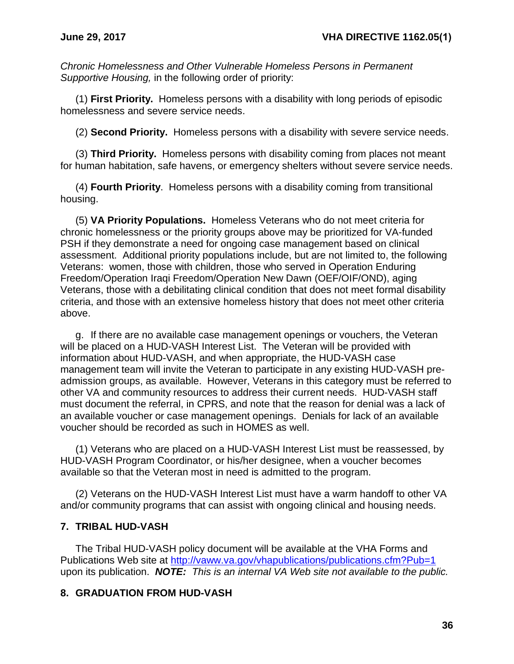*Chronic Homelessness and Other Vulnerable Homeless Persons in Permanent Supportive Housing,* in the following order of priority:

(1) **First Priority.** Homeless persons with a disability with long periods of episodic homelessness and severe service needs.

(2) **Second Priority.** Homeless persons with a disability with severe service needs.

(3) **Third Priority.** Homeless persons with disability coming from places not meant for human habitation, safe havens, or emergency shelters without severe service needs.

(4) **Fourth Priority**. Homeless persons with a disability coming from transitional housing.

(5) **VA Priority Populations.** Homeless Veterans who do not meet criteria for chronic homelessness or the priority groups above may be prioritized for VA-funded PSH if they demonstrate a need for ongoing case management based on clinical assessment. Additional priority populations include, but are not limited to, the following Veterans: women, those with children, those who served in Operation Enduring Freedom/Operation Iraqi Freedom/Operation New Dawn (OEF/OIF/OND), aging Veterans, those with a debilitating clinical condition that does not meet formal disability criteria, and those with an extensive homeless history that does not meet other criteria above.

g. If there are no available case management openings or vouchers, the Veteran will be placed on a HUD-VASH Interest List. The Veteran will be provided with information about HUD-VASH, and when appropriate, the HUD-VASH case management team will invite the Veteran to participate in any existing HUD-VASH preadmission groups, as available. However, Veterans in this category must be referred to other VA and community resources to address their current needs. HUD-VASH staff must document the referral, in CPRS, and note that the reason for denial was a lack of an available voucher or case management openings. Denials for lack of an available voucher should be recorded as such in HOMES as well.

(1) Veterans who are placed on a HUD-VASH Interest List must be reassessed, by HUD-VASH Program Coordinator, or his/her designee, when a voucher becomes available so that the Veteran most in need is admitted to the program.

(2) Veterans on the HUD-VASH Interest List must have a warm handoff to other VA and/or community programs that can assist with ongoing clinical and housing needs.

### <span id="page-38-0"></span>**7. TRIBAL HUD-VASH**

The Tribal HUD-VASH policy document will be available at the VHA Forms and Publications Web site at<http://vaww.va.gov/vhapublications/publications.cfm?Pub=1> upon its publication. *NOTE: This is an internal VA Web site not available to the public.*

### <span id="page-38-1"></span>**8. GRADUATION FROM HUD-VASH**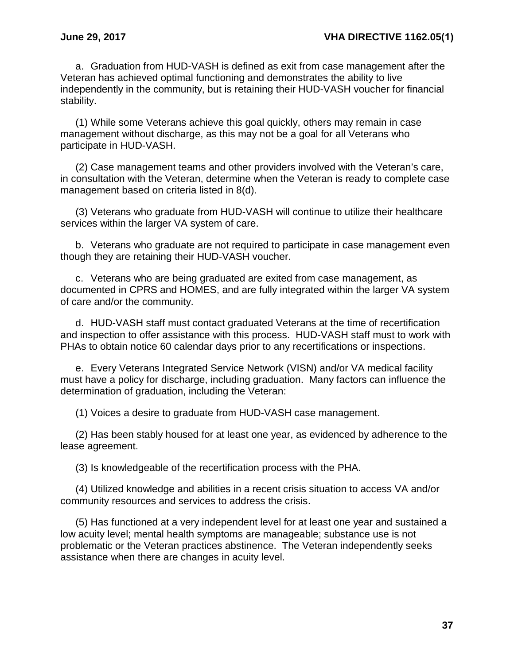a. Graduation from HUD-VASH is defined as exit from case management after the Veteran has achieved optimal functioning and demonstrates the ability to live independently in the community, but is retaining their HUD-VASH voucher for financial stability.

(1) While some Veterans achieve this goal quickly, others may remain in case management without discharge, as this may not be a goal for all Veterans who participate in HUD-VASH.

(2) Case management teams and other providers involved with the Veteran's care, in consultation with the Veteran, determine when the Veteran is ready to complete case management based on criteria listed in 8(d).

(3) Veterans who graduate from HUD-VASH will continue to utilize their healthcare services within the larger VA system of care.

b. Veterans who graduate are not required to participate in case management even though they are retaining their HUD-VASH voucher.

c. Veterans who are being graduated are exited from case management, as documented in CPRS and HOMES, and are fully integrated within the larger VA system of care and/or the community.

d. HUD-VASH staff must contact graduated Veterans at the time of recertification and inspection to offer assistance with this process. HUD-VASH staff must to work with PHAs to obtain notice 60 calendar days prior to any recertifications or inspections.

e. Every Veterans Integrated Service Network (VISN) and/or VA medical facility must have a policy for discharge, including graduation. Many factors can influence the determination of graduation, including the Veteran:

(1) Voices a desire to graduate from HUD-VASH case management.

(2) Has been stably housed for at least one year, as evidenced by adherence to the lease agreement.

(3) Is knowledgeable of the recertification process with the PHA.

(4) Utilized knowledge and abilities in a recent crisis situation to access VA and/or community resources and services to address the crisis.

(5) Has functioned at a very independent level for at least one year and sustained a low acuity level; mental health symptoms are manageable; substance use is not problematic or the Veteran practices abstinence. The Veteran independently seeks assistance when there are changes in acuity level.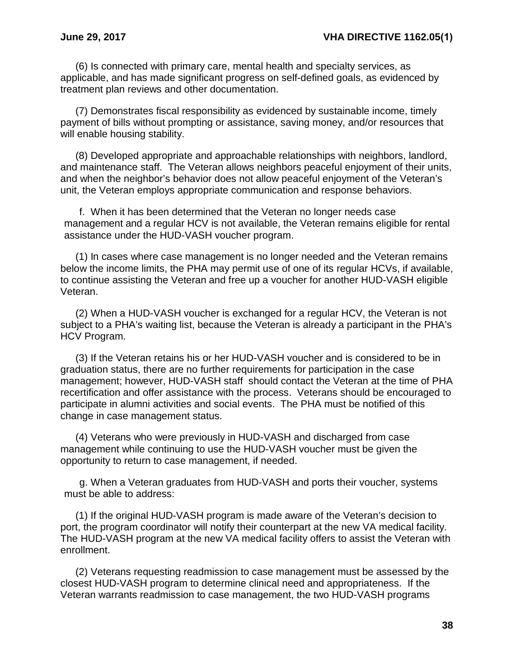(6) Is connected with primary care, mental health and specialty services, as applicable, and has made significant progress on self-defined goals, as evidenced by treatment plan reviews and other documentation.

(7) Demonstrates fiscal responsibility as evidenced by sustainable income, timely payment of bills without prompting or assistance, saving money, and/or resources that will enable housing stability.

(8) Developed appropriate and approachable relationships with neighbors, landlord, and maintenance staff. The Veteran allows neighbors peaceful enjoyment of their units, and when the neighbor's behavior does not allow peaceful enjoyment of the Veteran's unit, the Veteran employs appropriate communication and response behaviors.

f. When it has been determined that the Veteran no longer needs case management and a regular HCV is not available, the Veteran remains eligible for rental assistance under the HUD-VASH voucher program.

(1) In cases where case management is no longer needed and the Veteran remains below the income limits, the PHA may permit use of one of its regular HCVs, if available, to continue assisting the Veteran and free up a voucher for another HUD-VASH eligible Veteran.

(2) When a HUD-VASH voucher is exchanged for a regular HCV, the Veteran is not subject to a PHA's waiting list, because the Veteran is already a participant in the PHA's HCV Program.

(3) If the Veteran retains his or her HUD-VASH voucher and is considered to be in graduation status, there are no further requirements for participation in the case management; however, HUD-VASH staff should contact the Veteran at the time of PHA recertification and offer assistance with the process. Veterans should be encouraged to participate in alumni activities and social events. The PHA must be notified of this change in case management status.

(4) Veterans who were previously in HUD-VASH and discharged from case management while continuing to use the HUD-VASH voucher must be given the opportunity to return to case management, if needed.

g. When a Veteran graduates from HUD-VASH and ports their voucher, systems must be able to address:

(1) If the original HUD-VASH program is made aware of the Veteran's decision to port, the program coordinator will notify their counterpart at the new VA medical facility. The HUD-VASH program at the new VA medical facility offers to assist the Veteran with enrollment.

(2) Veterans requesting readmission to case management must be assessed by the closest HUD-VASH program to determine clinical need and appropriateness. If the Veteran warrants readmission to case management, the two HUD-VASH programs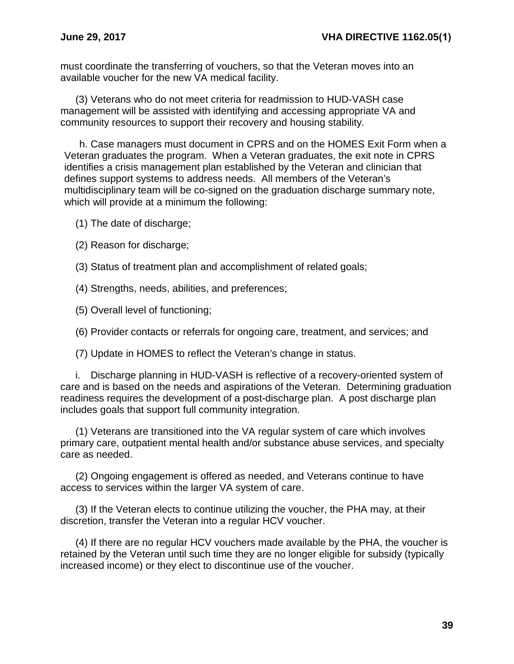must coordinate the transferring of vouchers, so that the Veteran moves into an available voucher for the new VA medical facility.

(3) Veterans who do not meet criteria for readmission to HUD-VASH case management will be assisted with identifying and accessing appropriate VA and community resources to support their recovery and housing stability.

h. Case managers must document in CPRS and on the HOMES Exit Form when a Veteran graduates the program. When a Veteran graduates, the exit note in CPRS identifies a crisis management plan established by the Veteran and clinician that defines support systems to address needs. All members of the Veteran's multidisciplinary team will be co-signed on the graduation discharge summary note, which will provide at a minimum the following:

(1) The date of discharge;

- (2) Reason for discharge;
- (3) Status of treatment plan and accomplishment of related goals;
- (4) Strengths, needs, abilities, and preferences;
- (5) Overall level of functioning;
- (6) Provider contacts or referrals for ongoing care, treatment, and services; and
- (7) Update in HOMES to reflect the Veteran's change in status.

i. Discharge planning in HUD-VASH is reflective of a recovery-oriented system of care and is based on the needs and aspirations of the Veteran. Determining graduation readiness requires the development of a post-discharge plan. A post discharge plan includes goals that support full community integration.

(1) Veterans are transitioned into the VA regular system of care which involves primary care, outpatient mental health and/or substance abuse services, and specialty care as needed.

(2) Ongoing engagement is offered as needed, and Veterans continue to have access to services within the larger VA system of care.

(3) If the Veteran elects to continue utilizing the voucher, the PHA may, at their discretion, transfer the Veteran into a regular HCV voucher.

(4) If there are no regular HCV vouchers made available by the PHA, the voucher is retained by the Veteran until such time they are no longer eligible for subsidy (typically increased income) or they elect to discontinue use of the voucher.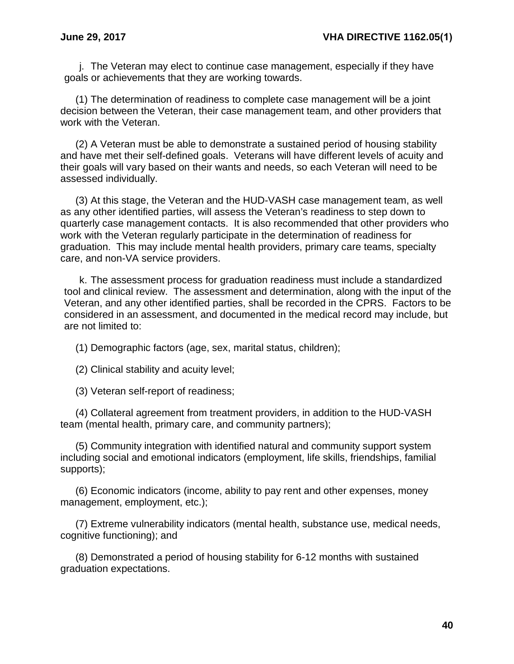j. The Veteran may elect to continue case management, especially if they have goals or achievements that they are working towards.

(1) The determination of readiness to complete case management will be a joint decision between the Veteran, their case management team, and other providers that work with the Veteran.

(2) A Veteran must be able to demonstrate a sustained period of housing stability and have met their self-defined goals. Veterans will have different levels of acuity and their goals will vary based on their wants and needs, so each Veteran will need to be assessed individually.

(3) At this stage, the Veteran and the HUD-VASH case management team, as well as any other identified parties, will assess the Veteran's readiness to step down to quarterly case management contacts. It is also recommended that other providers who work with the Veteran regularly participate in the determination of readiness for graduation. This may include mental health providers, primary care teams, specialty care, and non-VA service providers.

k. The assessment process for graduation readiness must include a standardized tool and clinical review. The assessment and determination, along with the input of the Veteran, and any other identified parties, shall be recorded in the CPRS. Factors to be considered in an assessment, and documented in the medical record may include, but are not limited to:

(1) Demographic factors (age, sex, marital status, children);

(2) Clinical stability and acuity level;

(3) Veteran self-report of readiness;

(4) Collateral agreement from treatment providers, in addition to the HUD-VASH team (mental health, primary care, and community partners);

(5) Community integration with identified natural and community support system including social and emotional indicators (employment, life skills, friendships, familial supports);

(6) Economic indicators (income, ability to pay rent and other expenses, money management, employment, etc.);

(7) Extreme vulnerability indicators (mental health, substance use, medical needs, cognitive functioning); and

(8) Demonstrated a period of housing stability for 6-12 months with sustained graduation expectations.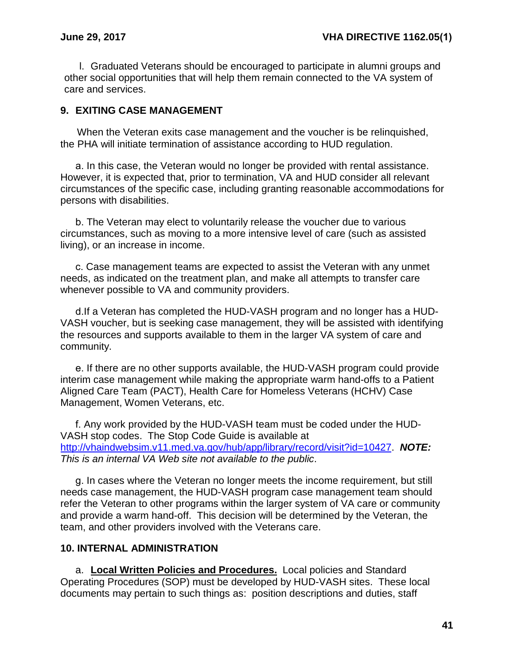l. Graduated Veterans should be encouraged to participate in alumni groups and other social opportunities that will help them remain connected to the VA system of care and services.

### <span id="page-43-0"></span>**9. EXITING CASE MANAGEMENT**

When the Veteran exits case management and the voucher is be relinquished, the PHA will initiate termination of assistance according to HUD regulation.

a. In this case, the Veteran would no longer be provided with rental assistance. However, it is expected that, prior to termination, VA and HUD consider all relevant circumstances of the specific case, including granting reasonable accommodations for persons with disabilities.

b. The Veteran may elect to voluntarily release the voucher due to various circumstances, such as moving to a more intensive level of care (such as assisted living), or an increase in income.

c. Case management teams are expected to assist the Veteran with any unmet needs, as indicated on the treatment plan, and make all attempts to transfer care whenever possible to VA and community providers.

d.If a Veteran has completed the HUD-VASH program and no longer has a HUD-VASH voucher, but is seeking case management, they will be assisted with identifying the resources and supports available to them in the larger VA system of care and community.

e. If there are no other supports available, the HUD-VASH program could provide interim case management while making the appropriate warm hand-offs to a Patient Aligned Care Team (PACT), Health Care for Homeless Veterans (HCHV) Case Management, Women Veterans, etc.

f. Any work provided by the HUD-VASH team must be coded under the HUD-VASH stop codes. The Stop Code Guide is available at [http://vhaindwebsim.v11.med.va.gov/hub/app/library/record/visit?id=10427.](http://vhaindwebsim.v11.med.va.gov/hub/app/library/record/visit?id=10427) *NOTE: This is an internal VA Web site not available to the public*.

g. In cases where the Veteran no longer meets the income requirement, but still needs case management, the HUD-VASH program case management team should refer the Veteran to other programs within the larger system of VA care or community and provide a warm hand-off. This decision will be determined by the Veteran, the team, and other providers involved with the Veterans care.

### <span id="page-43-1"></span>**10. INTERNAL ADMINISTRATION**

a. **Local Written Policies and Procedures.** Local policies and Standard Operating Procedures (SOP) must be developed by HUD-VASH sites. These local documents may pertain to such things as: position descriptions and duties, staff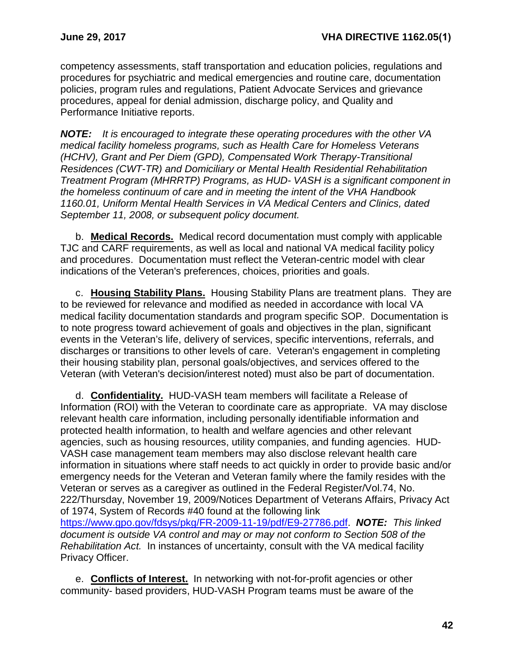competency assessments, staff transportation and education policies, regulations and procedures for psychiatric and medical emergencies and routine care, documentation policies, program rules and regulations, Patient Advocate Services and grievance procedures, appeal for denial admission, discharge policy, and Quality and Performance Initiative reports.

*NOTE: It is encouraged to integrate these operating procedures with the other VA medical facility homeless programs, such as Health Care for Homeless Veterans (HCHV), Grant and Per Diem (GPD), Compensated Work Therapy-Transitional Residences (CWT-TR) and Domiciliary or Mental Health Residential Rehabilitation Treatment Program (MHRRTP) Programs, as HUD- VASH is a significant component in the homeless continuum of care and in meeting the intent of the VHA Handbook 1160.01, Uniform Mental Health Services in VA Medical Centers and Clinics, dated September 11, 2008, or subsequent policy document.*

b. **Medical Records.** Medical record documentation must comply with applicable TJC and CARF requirements, as well as local and national VA medical facility policy and procedures. Documentation must reflect the Veteran-centric model with clear indications of the Veteran's preferences, choices, priorities and goals.

c. **Housing Stability Plans.** Housing Stability Plans are treatment plans. They are to be reviewed for relevance and modified as needed in accordance with local VA medical facility documentation standards and program specific SOP. Documentation is to note progress toward achievement of goals and objectives in the plan, significant events in the Veteran's life, delivery of services, specific interventions, referrals, and discharges or transitions to other levels of care. Veteran's engagement in completing their housing stability plan, personal goals/objectives, and services offered to the Veteran (with Veteran's decision/interest noted) must also be part of documentation.

d. **Confidentiality.** HUD-VASH team members will facilitate a Release of Information (ROI) with the Veteran to coordinate care as appropriate. VA may disclose relevant health care information, including personally identifiable information and protected health information, to health and welfare agencies and other relevant agencies, such as housing resources, utility companies, and funding agencies. HUD-VASH case management team members may also disclose relevant health care information in situations where staff needs to act quickly in order to provide basic and/or emergency needs for the Veteran and Veteran family where the family resides with the Veteran or serves as a caregiver as outlined in the Federal Register/Vol.74, No. 222/Thursday, November 19, 2009/Notices Department of Veterans Affairs, Privacy Act of 1974, System of Records #40 found at the following link [https://www.gpo.gov/fdsys/pkg/FR-2009-11-19/pdf/E9-27786.pdf.](https://www.gpo.gov/fdsys/pkg/FR-2009-11-19/pdf/E9-27786.pdf) *NOTE: This linked document is outside VA control and may or may not conform to Section 508 of the Rehabilitation Act.* In instances of uncertainty, consult with the VA medical facility Privacy Officer.

e. **Conflicts of Interest.** In networking with not-for-profit agencies or other community- based providers, HUD-VASH Program teams must be aware of the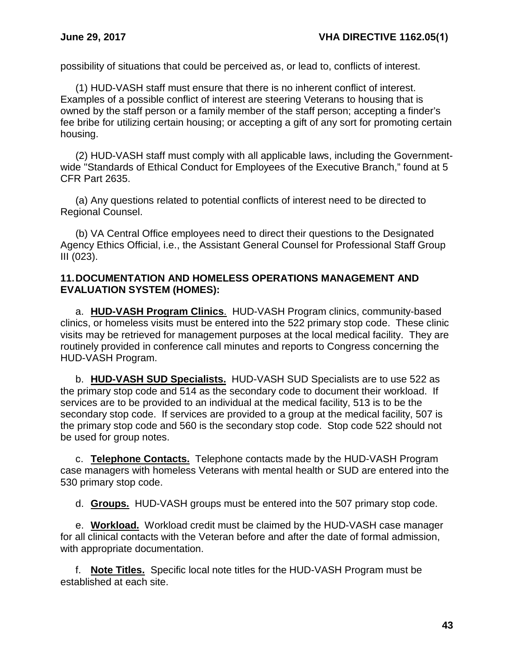possibility of situations that could be perceived as, or lead to, conflicts of interest.

(1) HUD-VASH staff must ensure that there is no inherent conflict of interest. Examples of a possible conflict of interest are steering Veterans to housing that is owned by the staff person or a family member of the staff person; accepting a finder's fee bribe for utilizing certain housing; or accepting a gift of any sort for promoting certain housing.

(2) HUD-VASH staff must comply with all applicable laws, including the Governmentwide "Standards of Ethical Conduct for Employees of the Executive Branch," found at 5 CFR Part 2635.

(a) Any questions related to potential conflicts of interest need to be directed to Regional Counsel.

(b) VA Central Office employees need to direct their questions to the Designated Agency Ethics Official, i.e., the Assistant General Counsel for Professional Staff Group III (023).

### <span id="page-45-0"></span>**11.DOCUMENTATION AND HOMELESS OPERATIONS MANAGEMENT AND EVALUATION SYSTEM (HOMES):**

a. **HUD-VASH Program Clinics**. HUD-VASH Program clinics, community-based clinics, or homeless visits must be entered into the 522 primary stop code. These clinic visits may be retrieved for management purposes at the local medical facility. They are routinely provided in conference call minutes and reports to Congress concerning the HUD-VASH Program.

b. **HUD-VASH SUD Specialists.** HUD-VASH SUD Specialists are to use 522 as the primary stop code and 514 as the secondary code to document their workload. If services are to be provided to an individual at the medical facility, 513 is to be the secondary stop code. If services are provided to a group at the medical facility, 507 is the primary stop code and 560 is the secondary stop code. Stop code 522 should not be used for group notes.

c. **Telephone Contacts.** Telephone contacts made by the HUD-VASH Program case managers with homeless Veterans with mental health or SUD are entered into the 530 primary stop code.

d. **Groups.** HUD-VASH groups must be entered into the 507 primary stop code.

e. **Workload.** Workload credit must be claimed by the HUD-VASH case manager for all clinical contacts with the Veteran before and after the date of formal admission, with appropriate documentation.

f. **Note Titles.** Specific local note titles for the HUD-VASH Program must be established at each site.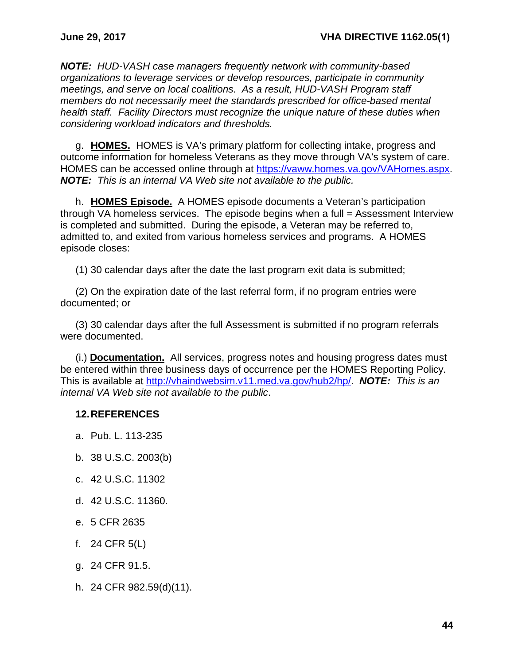*NOTE: HUD-VASH case managers frequently network with community-based organizations to leverage services or develop resources, participate in community meetings, and serve on local coalitions. As a result, HUD-VASH Program staff members do not necessarily meet the standards prescribed for office-based mental health staff. Facility Directors must recognize the unique nature of these duties when considering workload indicators and thresholds.*

g. **HOMES.** HOMES is VA's primary platform for collecting intake, progress and outcome information for homeless Veterans as they move through VA's system of care. HOMES can be accessed online through at [https://vaww.homes.va.gov/VAHomes.aspx.](https://vaww.homes.va.gov/VAHomes.aspx) *NOTE: This is an internal VA Web site not available to the public.*

h. **HOMES Episode.** A HOMES episode documents a Veteran's participation through VA homeless services. The episode begins when a full = Assessment Interview is completed and submitted. During the episode, a Veteran may be referred to, admitted to, and exited from various homeless services and programs. A HOMES episode closes:

(1) 30 calendar days after the date the last program exit data is submitted;

(2) On the expiration date of the last referral form, if no program entries were documented; or

(3) 30 calendar days after the full Assessment is submitted if no program referrals were documented.

(i.) **Documentation.** All services, progress notes and housing progress dates must be entered within three business days of occurrence per the HOMES Reporting Policy. This is available at [http://vhaindwebsim.v11.med.va.gov/hub2/hp/.](http://vhaindwebsim.v11.med.va.gov/hub2/hp/) *NOTE: This is an internal VA Web site not available to the public*.

### <span id="page-46-0"></span>**12.REFERENCES**

a. Pub. L. 113-235

- b. 38 U.S.C. 2003(b)
- c. 42 U.S.C. 11302
- d. 42 U.S.C. 11360.
- e. 5 CFR 2635
- f. 24 CFR 5(L)
- g. 24 CFR 91.5.
- h. 24 CFR 982.59(d)(11).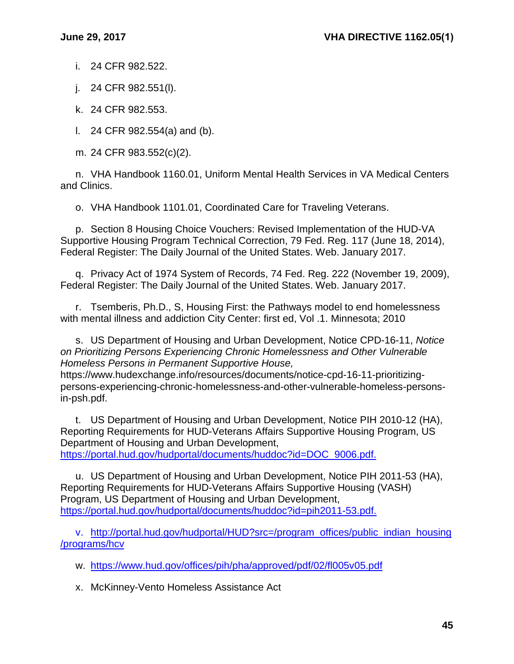i. 24 CFR 982.522.

j. 24 CFR 982.551(l).

k. 24 CFR 982.553.

l. 24 CFR 982.554(a) and (b).

m. 24 CFR 983.552(c)(2).

n. VHA Handbook 1160.01, Uniform Mental Health Services in VA Medical Centers and Clinics.

o. VHA Handbook 1101.01, Coordinated Care for Traveling Veterans.

p. Section 8 Housing Choice Vouchers: Revised Implementation of the HUD-VA Supportive Housing Program Technical Correction, 79 Fed. Reg. 117 (June 18, 2014), Federal Register: The Daily Journal of the United States. Web. January 2017.

q. Privacy Act of 1974 System of Records, 74 Fed. Reg. 222 (November 19, 2009), Federal Register: The Daily Journal of the United States. Web. January 2017.

r. Tsemberis, Ph.D., S, Housing First: the Pathways model to end homelessness with mental illness and addiction City Center: first ed, Vol .1. Minnesota; 2010

s. US Department of Housing and Urban Development, Notice CPD-16-11, *Notice on Prioritizing Persons Experiencing Chronic Homelessness and Other Vulnerable Homeless Persons in Permanent Supportive House,*

https://www.hudexchange.info/resources/documents/notice-cpd-16-11-prioritizingpersons-experiencing-chronic-homelessness-and-other-vulnerable-homeless-personsin-psh.pdf.

t. US Department of Housing and Urban Development, Notice PIH 2010-12 (HA), Reporting Requirements for HUD-Veterans Affairs Supportive Housing Program, US Department of Housing and Urban Development, [https://portal.hud.gov/hudportal/documents/huddoc?id=DOC\\_9006.pdf.](https://portal.hud.gov/hudportal/documents/huddoc?id=DOC_9006.pdf)

u. US Department of Housing and Urban Development, Notice PIH 2011-53 (HA), Reporting Requirements for HUD-Veterans Affairs Supportive Housing (VASH) Program, US Department of Housing and Urban Development, [https://portal.hud.gov/hudportal/documents/huddoc?id=pih2011-53.pdf.](https://portal.hud.gov/hudportal/documents/huddoc?id=pih2011-53.pdf)

v. [http://portal.hud.gov/hudportal/HUD?src=/program\\_offices/public\\_indian\\_housing](http://portal.hud.gov/hudportal/HUD?src=/program_offices/public_indian_housing/programs/hcv) [/programs/hcv](http://portal.hud.gov/hudportal/HUD?src=/program_offices/public_indian_housing/programs/hcv)

w. <https://www.hud.gov/offices/pih/pha/approved/pdf/02/fl005v05.pdf>

x. McKinney-Vento Homeless Assistance Act